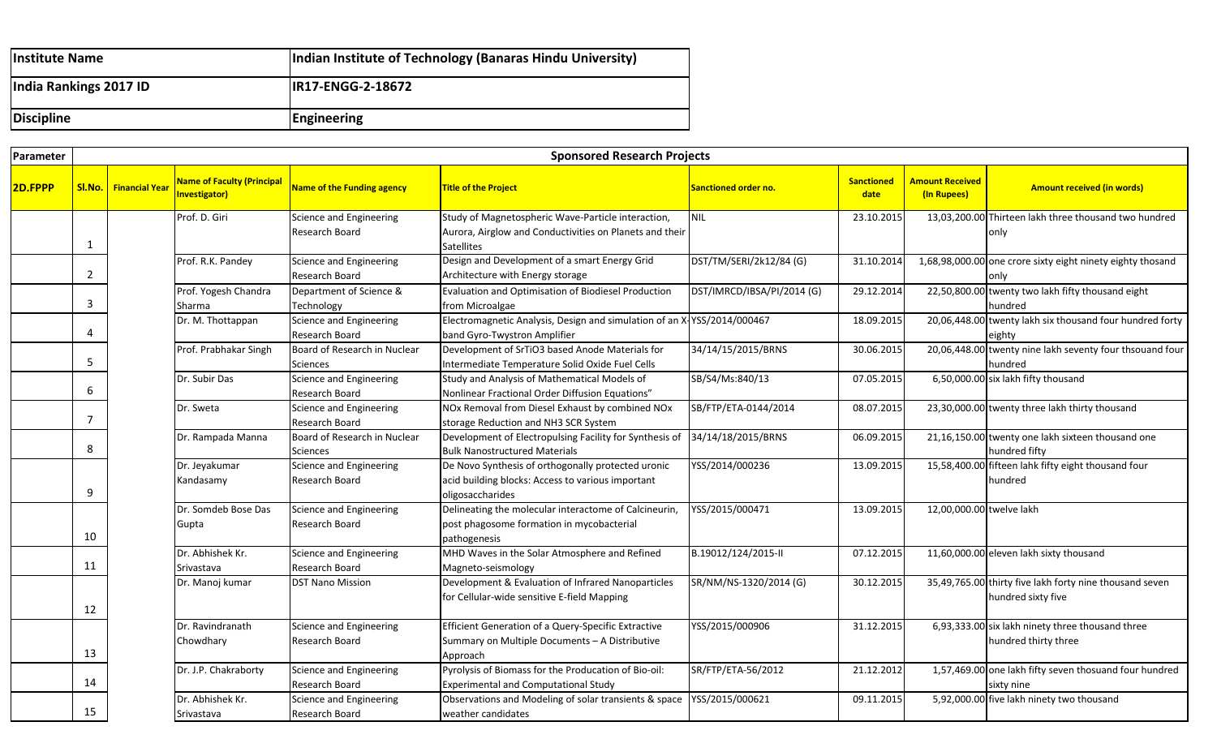| <b>Institute Name</b>  | Indian Institute of Technology (Banaras Hindu University) |
|------------------------|-----------------------------------------------------------|
| India Rankings 2017 ID | <b>IR17-ENGG-2-18672</b>                                  |
| <b>Discipline</b>      | Engineering                                               |

| Parameter |                | <b>Sponsored Research Projects</b> |                                                           |                                                 |                                                                                                                                    |                            |                           |                                       |                                                                               |  |
|-----------|----------------|------------------------------------|-----------------------------------------------------------|-------------------------------------------------|------------------------------------------------------------------------------------------------------------------------------------|----------------------------|---------------------------|---------------------------------------|-------------------------------------------------------------------------------|--|
| 2D.FPPP   |                | SI.No.   Financial Year            | <b>Name of Faculty (Principal</b><br><b>Investigator)</b> | <b>Name of the Funding agency</b>               | <b>Title of the Project</b>                                                                                                        | Sanctioned order no.       | <b>Sanctioned</b><br>date | <b>Amount Received</b><br>(In Rupees) | <b>Amount received (in words)</b>                                             |  |
|           | $\mathbf{1}$   |                                    | Prof. D. Giri                                             | Science and Engineering<br>Research Board       | Study of Magnetospheric Wave-Particle interaction,<br>Aurora, Airglow and Conductivities on Planets and their<br><b>Satellites</b> | <b>NIL</b>                 | 23.10.2015                |                                       | 13,03,200.00 Thirteen lakh three thousand two hundred<br>only                 |  |
|           | $\overline{2}$ |                                    | Prof. R.K. Pandey                                         | Science and Engineering<br>Research Board       | Design and Development of a smart Energy Grid<br>Architecture with Energy storage                                                  | DST/TM/SERI/2k12/84 (G)    | 31.10.2014                |                                       | 1,68,98,000.00 one crore sixty eight ninety eighty thosand<br>only            |  |
|           | 3              |                                    | Prof. Yogesh Chandra<br>Sharma                            | Department of Science &<br>Technology           | Evaluation and Optimisation of Biodiesel Production<br>from Microalgae                                                             | DST/IMRCD/IBSA/PI/2014 (G) | 29.12.2014                |                                       | 22,50,800.00 twenty two lakh fifty thousand eight<br>hundred                  |  |
|           | 4              |                                    | Dr. M. Thottappan                                         | Science and Engineering<br>Research Board       | Electromagnetic Analysis, Design and simulation of an X-YSS/2014/000467<br>band Gyro-Twystron Amplifier                            |                            | 18.09.2015                |                                       | 20,06,448.00 twenty lakh six thousand four hundred forty<br>eighty            |  |
|           | 5              |                                    | Prof. Prabhakar Singh                                     | Board of Research in Nuclear<br><b>Sciences</b> | Development of SrTiO3 based Anode Materials for<br>Intermediate Temperature Solid Oxide Fuel Cells                                 | 34/14/15/2015/BRNS         | 30.06.2015                |                                       | 20,06,448.00 twenty nine lakh seventy four thsouand four<br>hundred           |  |
|           | 6              |                                    | Dr. Subir Das                                             | Science and Engineering<br>Research Board       | Study and Analysis of Mathematical Models of<br>Nonlinear Fractional Order Diffusion Equations"                                    | SB/S4/Ms:840/13            | 07.05.2015                |                                       | 6,50,000.00 six lakh fifty thousand                                           |  |
|           | $\overline{7}$ |                                    | Dr. Sweta                                                 | Science and Engineering<br>Research Board       | NOx Removal from Diesel Exhaust by combined NOx<br>storage Reduction and NH3 SCR System                                            | SB/FTP/ETA-0144/2014       | 08.07.2015                |                                       | 23,30,000.00 twenty three lakh thirty thousand                                |  |
|           | 8              |                                    | Dr. Rampada Manna                                         | Board of Research in Nuclear<br>Sciences        | Development of Electropulsing Facility for Synthesis of<br><b>Bulk Nanostructured Materials</b>                                    | 34/14/18/2015/BRNS         | 06.09.2015                |                                       | 21,16,150.00 twenty one lakh sixteen thousand one<br>hundred fifty            |  |
|           | 9              |                                    | Dr. Jeyakumar<br>Kandasamy                                | Science and Engineering<br>Research Board       | De Novo Synthesis of orthogonally protected uronic<br>acid building blocks: Access to various important<br>oligosaccharides        | YSS/2014/000236            | 13.09.2015                |                                       | 15,58,400.00 fifteen lahk fifty eight thousand four<br>hundred                |  |
|           | 10             |                                    | Dr. Somdeb Bose Das<br>Gupta                              | Science and Engineering<br>Research Board       | Delineating the molecular interactome of Calcineurin,<br>post phagosome formation in mycobacterial<br>pathogenesis                 | YSS/2015/000471            | 13.09.2015                | 12,00,000.00 twelve lakh              |                                                                               |  |
|           | 11             |                                    | Dr. Abhishek Kr.<br>Srivastava                            | Science and Engineering<br>Research Board       | MHD Waves in the Solar Atmosphere and Refined<br>Magneto-seismology                                                                | B.19012/124/2015-II        | 07.12.2015                |                                       | 11,60,000.00 eleven lakh sixty thousand                                       |  |
|           | 12             |                                    | Dr. Manoj kumar                                           | <b>DST Nano Mission</b>                         | Development & Evaluation of Infrared Nanoparticles<br>for Cellular-wide sensitive E-field Mapping                                  | SR/NM/NS-1320/2014 (G)     | 30.12.2015                |                                       | 35,49,765.00 thirty five lakh forty nine thousand seven<br>hundred sixty five |  |
|           | 13             |                                    | Dr. Ravindranath<br>Chowdhary                             | Science and Engineering<br>Research Board       | Efficient Generation of a Query-Specific Extractive<br>Summary on Multiple Documents - A Distributive<br>Approach                  | YSS/2015/000906            | 31.12.2015                |                                       | 6,93,333.00 six lakh ninety three thousand three<br>hundred thirty three      |  |
|           | 14             |                                    | Dr. J.P. Chakraborty                                      | Science and Engineering<br>Research Board       | Pyrolysis of Biomass for the Producation of Bio-oil:<br><b>Experimental and Computational Study</b>                                | SR/FTP/ETA-56/2012         | 21.12.2012                |                                       | 1,57,469.00 one lakh fifty seven thosuand four hundred<br>sixty nine          |  |
|           | 15             |                                    | Dr. Abhishek Kr.<br>Srivastava                            | Science and Engineering<br>Research Board       | Observations and Modeling of solar transients & space  YSS/2015/000621<br>weather candidates                                       |                            | 09.11.2015                |                                       | 5,92,000.00 five lakh ninety two thousand                                     |  |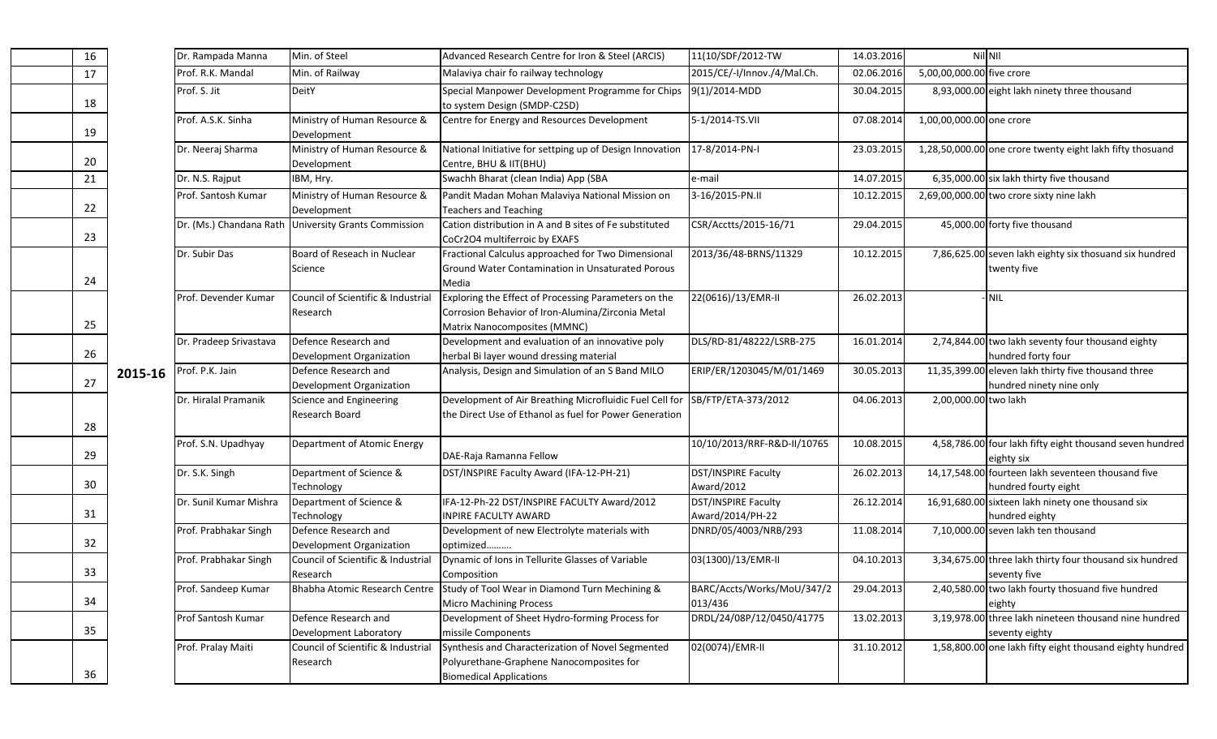| 16 |         | Dr. Rampada Manna       | Min. of Steel                                    | Advanced Research Centre for Iron & Steel (ARCIS)                                                                                         | 11(10/SDF/2012-TW                       | 14.03.2016 | Nil NII                   |                                                                                 |
|----|---------|-------------------------|--------------------------------------------------|-------------------------------------------------------------------------------------------------------------------------------------------|-----------------------------------------|------------|---------------------------|---------------------------------------------------------------------------------|
| 17 |         | Prof. R.K. Mandal       | Min. of Railway                                  | Malaviya chair fo railway technology                                                                                                      | 2015/CE/-I/Innov./4/Mal.Ch.             | 02.06.2016 | 5,00,00,000.00 five crore |                                                                                 |
| 18 |         | Prof. S. Jit            | DeitY                                            | Special Manpower Development Programme for Chips<br>to system Design (SMDP-C2SD)                                                          | 9(1)/2014-MDD                           | 30.04.2015 |                           | 8,93,000.00 eight lakh ninety three thousand                                    |
| 19 |         | Prof. A.S.K. Sinha      | Ministry of Human Resource &<br>Development      | Centre for Energy and Resources Development                                                                                               | 5-1/2014-TS.VII                         | 07.08.2014 | 1,00,00,000.00 one crore  |                                                                                 |
|    |         | Dr. Neeraj Sharma       | Ministry of Human Resource &<br>Development      | National Initiative for settping up of Design Innovation<br>Centre, BHU & IIT(BHU)                                                        | 17-8/2014-PN-I                          | 23.03.2015 |                           | 1,28,50,000.00 one crore twenty eight lakh fifty thosuand                       |
| 21 |         | Dr. N.S. Rajput         | IBM, Hry.                                        | Swachh Bharat (clean India) App (SBA                                                                                                      | e-mail                                  | 14.07.2015 |                           | 6,35,000.00 six lakh thirty five thousand                                       |
| 22 |         | Prof. Santosh Kumar     | Ministry of Human Resource &<br>Development      | Pandit Madan Mohan Malaviya National Mission on<br><b>Teachers and Teaching</b>                                                           | 3-16/2015-PN.II                         | 10.12.2015 |                           | 2,69,00,000.00 two crore sixty nine lakh                                        |
| 23 |         | Dr. (Ms.) Chandana Rath | <b>University Grants Commission</b>              | Cation distribution in A and B sites of Fe substituted<br>CoCr2O4 multiferroic by EXAFS                                                   | CSR/Acctts/2015-16/71                   | 29.04.2015 |                           | 45,000.00 forty five thousand                                                   |
| 24 |         | Dr. Subir Das           | Board of Reseach in Nuclear<br>Science           | Fractional Calculus approached for Two Dimensional<br>Ground Water Contamination in Unsaturated Porous<br>Media                           | 2013/36/48-BRNS/11329                   | 10.12.2015 |                           | 7,86,625.00 seven lakh eighty six thosuand six hundred<br>twenty five           |
| 25 |         | Prof. Devender Kumar    | Council of Scientific & Industrial<br>Research   | Exploring the Effect of Processing Parameters on the<br>Corrosion Behavior of Iron-Alumina/Zirconia Metal<br>Matrix Nanocomposites (MMNC) | 22(0616)/13/EMR-II                      | 26.02.2013 |                           | <b>NIL</b>                                                                      |
| 26 |         | Dr. Pradeep Srivastava  | Defence Research and<br>Development Organization | Development and evaluation of an innovative poly<br>herbal Bi layer wound dressing material                                               | DLS/RD-81/48222/LSRB-275                | 16.01.2014 |                           | 2,74,844.00 two lakh seventy four thousand eighty<br>hundred forty four         |
| 27 | 2015-16 | Prof. P.K. Jain         | Defence Research and<br>Development Organization | Analysis, Design and Simulation of an S Band MILO                                                                                         | ERIP/ER/1203045/M/01/1469               | 30.05.2013 |                           | 11,35,399.00 eleven lakh thirty five thousand three<br>hundred ninety nine only |
| 28 |         | Dr. Hiralal Pramanik    | Science and Engineering<br>Research Board        | Development of Air Breathing Microfluidic Fuel Cell for<br>the Direct Use of Ethanol as fuel for Power Generation                         | SB/FTP/ETA-373/2012                     | 04.06.2013 | 2,00,000.00 two lakh      |                                                                                 |
| 29 |         | Prof. S.N. Upadhyay     | Department of Atomic Energy                      | DAE-Raja Ramanna Fellow                                                                                                                   | 10/10/2013/RRF-R&D-II/10765             | 10.08.2015 |                           | 4,58,786.00 four lakh fifty eight thousand seven hundred<br>eighty six          |
| 30 |         | Dr. S.K. Singh          | Department of Science &<br>Technology            | DST/INSPIRE Faculty Award (IFA-12-PH-21)                                                                                                  | DST/INSPIRE Faculty<br>Award/2012       | 26.02.2013 |                           | 14,17,548.00 fourteen lakh seventeen thousand five<br>hundred fourty eight      |
| 31 |         | Dr. Sunil Kumar Mishra  | Department of Science &<br>Technology            | IFA-12-Ph-22 DST/INSPIRE FACULTY Award/2012<br><b>INPIRE FACULTY AWARD</b>                                                                | DST/INSPIRE Faculty<br>Award/2014/PH-22 | 26.12.2014 |                           | 16,91,680.00 sixteen lakh ninety one thousand six<br>hundred eighty             |
| 32 |         | Prof. Prabhakar Singh   | Defence Research and<br>Development Organization | Development of new Electrolyte materials with<br>optimized                                                                                | DNRD/05/4003/NRB/293                    | 11.08.2014 |                           | 7,10,000.00 seven lakh ten thousand                                             |
| 33 |         | Prof. Prabhakar Singh   | Council of Scientific & Industrial<br>Research   | Dynamic of Ions in Tellurite Glasses of Variable<br>Composition                                                                           | 03(1300)/13/EMR-II                      | 04.10.2013 |                           | 3,34,675.00 three lakh thirty four thousand six hundred<br>seventy five         |
| 34 |         | Prof. Sandeep Kumar     |                                                  | Bhabha Atomic Research Centre Study of Tool Wear in Diamond Turn Mechining &<br><b>Micro Machining Process</b>                            | BARC/Accts/Works/MoU/347/2<br>013/436   | 29.04.2013 |                           | 2,40,580.00 two lakh fourty thosuand five hundred<br>eighty                     |
| 35 |         | Prof Santosh Kumar      | Defence Research and<br>Development Laboratory   | Development of Sheet Hydro-forming Process for<br>missile Components                                                                      | DRDL/24/08P/12/0450/41775               | 13.02.2013 |                           | 3,19,978.00 three lakh nineteen thousand nine hundred<br>seventy eighty         |
| 36 |         | Prof. Pralay Maiti      | Council of Scientific & Industrial<br>Research   | Synthesis and Characterization of Novel Segmented<br>Polyurethane-Graphene Nanocomposites for<br><b>Biomedical Applications</b>           | 02(0074)/EMR-II                         | 31.10.2012 |                           | 1,58,800.00 one lakh fifty eight thousand eighty hundred                        |

19

 $\frac{20}{21}$ 

22

23

24

25

26

27

28

29

30

31

32

33

34

35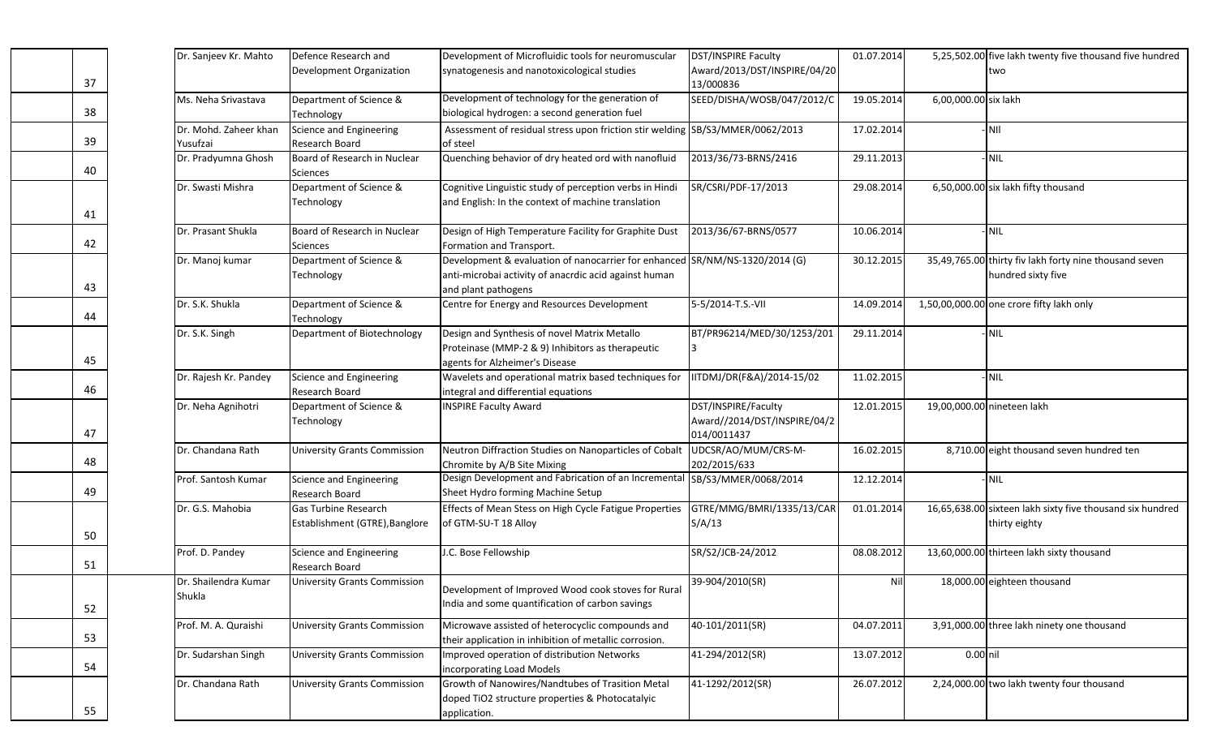| Dr. Sanjeev Kr. Mahto          | Defence Research and                                          | Development of Microfluidic tools for neuromuscular                                                                                                         | DST/INSPIRE Faculty                                                | 01.07.2014 |                      | 5,25,502.00 five lakh twenty five thousand five hundred                      |
|--------------------------------|---------------------------------------------------------------|-------------------------------------------------------------------------------------------------------------------------------------------------------------|--------------------------------------------------------------------|------------|----------------------|------------------------------------------------------------------------------|
|                                | Development Organization                                      | synatogenesis and nanotoxicological studies                                                                                                                 | Award/2013/DST/INSPIRE/04/20                                       |            |                      | two                                                                          |
|                                |                                                               |                                                                                                                                                             | 13/000836                                                          |            |                      |                                                                              |
| Ms. Neha Srivastava            | Department of Science &                                       | Development of technology for the generation of                                                                                                             | SEED/DISHA/WOSB/047/2012/C                                         | 19.05.2014 | 6,00,000.00 six lakh |                                                                              |
|                                | Technology                                                    | biological hydrogen: a second generation fuel                                                                                                               |                                                                    |            |                      |                                                                              |
| Dr. Mohd. Zaheer khan          | Science and Engineering                                       | Assessment of residual stress upon friction stir welding SB/S3/MMER/0062/2013                                                                               |                                                                    | 17.02.2014 |                      | -Inii                                                                        |
| Yusufzai                       | Research Board                                                | of steel                                                                                                                                                    |                                                                    |            |                      |                                                                              |
| Dr. Pradyumna Ghosh            | Board of Research in Nuclear<br>Sciences                      | Quenching behavior of dry heated ord with nanofluid                                                                                                         | 2013/36/73-BRNS/2416                                               | 29.11.2013 |                      | - NIL                                                                        |
| Dr. Swasti Mishra              | Department of Science &<br>Technology                         | Cognitive Linguistic study of perception verbs in Hindi<br>and English: In the context of machine translation                                               | SR/CSRI/PDF-17/2013                                                | 29.08.2014 |                      | 6,50,000.00 six lakh fifty thousand                                          |
| Dr. Prasant Shukla             | Board of Research in Nuclear<br>Sciences                      | Design of High Temperature Facility for Graphite Dust<br>Formation and Transport.                                                                           | 2013/36/67-BRNS/0577                                               | 10.06.2014 |                      | - NIL                                                                        |
| Dr. Manoj kumar                | Department of Science &<br>Technology                         | Development & evaluation of nanocarrier for enhanced SR/NM/NS-1320/2014 (G)<br>anti-microbai activity of anacrdic acid against human<br>and plant pathogens |                                                                    | 30.12.2015 |                      | 35,49,765.00 thirty fiv lakh forty nine thousand seven<br>hundred sixty five |
| Dr. S.K. Shukla                | Department of Science &<br>Technology                         | Centre for Energy and Resources Development                                                                                                                 | 5-5/2014-T.S.-VII                                                  | 14.09.2014 |                      | 1,50,00,000.00 one crore fifty lakh only                                     |
| Dr. S.K. Singh                 | Department of Biotechnology                                   | Design and Synthesis of novel Matrix Metallo<br>Proteinase (MMP-2 & 9) Inhibitors as therapeutic<br>agents for Alzheimer's Disease                          | BT/PR96214/MED/30/1253/201<br>13                                   | 29.11.2014 |                      | - NIL                                                                        |
| Dr. Rajesh Kr. Pandey          | Science and Engineering<br><b>Research Board</b>              | Wavelets and operational matrix based techniques for<br>integral and differential equations                                                                 | IITDMJ/DR(F&A)/2014-15/02                                          | 11.02.2015 |                      | - NIL                                                                        |
| Dr. Neha Agnihotri             | Department of Science &<br>Technology                         | <b>INSPIRE Faculty Award</b>                                                                                                                                | DST/INSPIRE/Faculty<br>Award//2014/DST/INSPIRE/04/2<br>014/0011437 | 12.01.2015 |                      | 19,00,000.00 nineteen lakh                                                   |
| Dr. Chandana Rath              | <b>University Grants Commission</b>                           | Neutron Diffraction Studies on Nanoparticles of Cobalt<br>Chromite by A/B Site Mixing                                                                       | UDCSR/AO/MUM/CRS-M-<br>202/2015/633                                | 16.02.2015 |                      | 8,710.00 eight thousand seven hundred ten                                    |
| Prof. Santosh Kumar            | Science and Engineering<br>Research Board                     | Design Development and Fabrication of an Incremental<br>Sheet Hydro forming Machine Setup                                                                   | SB/S3/MMER/0068/2014                                               | 12.12.2014 |                      | NIL                                                                          |
| Dr. G.S. Mahobia               | <b>Gas Turbine Research</b><br>Establishment (GTRE), Banglore | Effects of Mean Stess on High Cycle Fatigue Properties<br>of GTM-SU-T 18 Alloy                                                                              | GTRE/MMG/BMRI/1335/13/CAR<br>S/A/13                                | 01.01.2014 |                      | 16,65,638.00 sixteen lakh sixty five thousand six hundred<br>thirty eighty   |
| Prof. D. Pandey                | Science and Engineering<br>Research Board                     | J.C. Bose Fellowship                                                                                                                                        | SR/S2/JCB-24/2012                                                  | 08.08.2012 |                      | 13,60,000.00 thirteen lakh sixty thousand                                    |
| Dr. Shailendra Kumar<br>Shukla | <b>University Grants Commission</b>                           | Development of Improved Wood cook stoves for Rural<br>India and some quantification of carbon savings                                                       | 39-904/2010(SR)                                                    | Nil        |                      | 18,000.00 eighteen thousand                                                  |
| Prof. M. A. Quraishi           | <b>University Grants Commission</b>                           | Microwave assisted of heterocyclic compounds and<br>their application in inhibition of metallic corrosion.                                                  | 40-101/2011(SR)                                                    | 04.07.2011 |                      | 3,91,000.00 three lakh ninety one thousand                                   |
| Dr. Sudarshan Singh            | <b>University Grants Commission</b>                           | Improved operation of distribution Networks<br>incorporating Load Models                                                                                    | 41-294/2012(SR)                                                    | 13.07.2012 | 0.00 nil             |                                                                              |
| Dr. Chandana Rath              | <b>University Grants Commission</b>                           | Growth of Nanowires/Nandtubes of Trasition Metal<br>doped TiO2 structure properties & Photocatalyic<br>application.                                         | 41-1292/2012(SR)                                                   | 26.07.2012 |                      | 2,24,000.00 two lakh twenty four thousand                                    |

38

39

40

41

42

43

44

45

46

47

48

49

50

51

52

53

54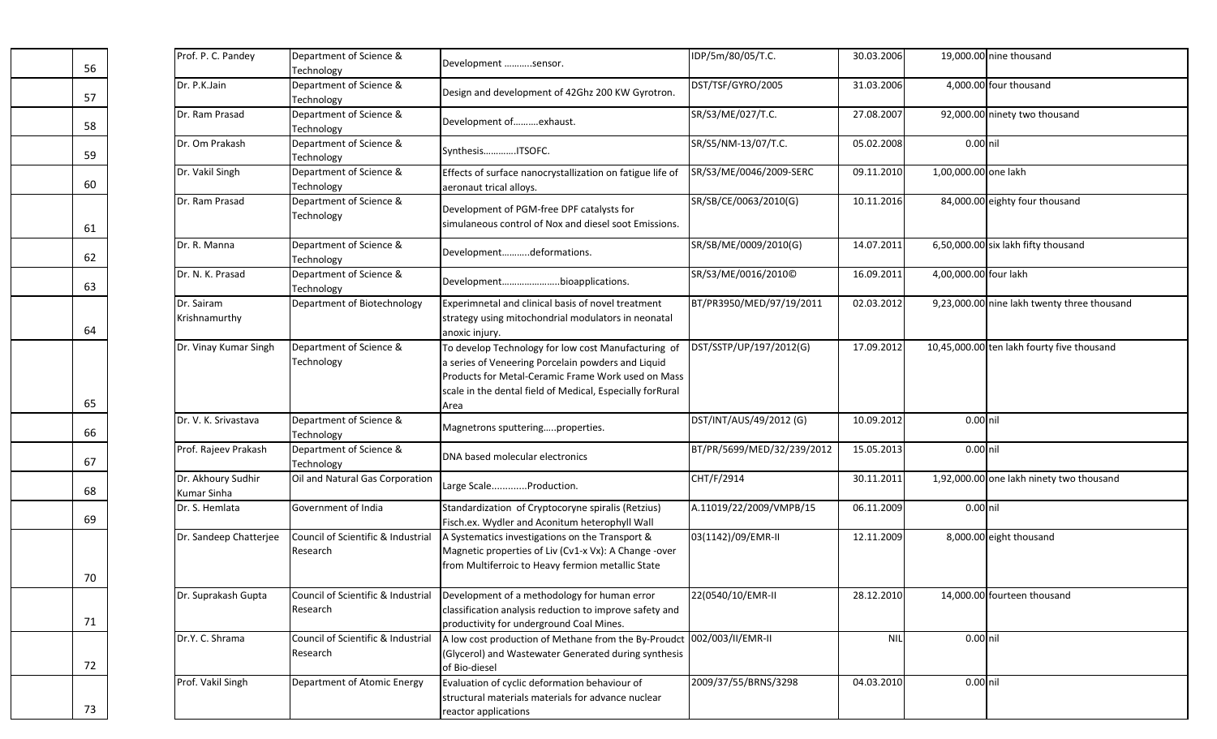| Prof. P. C. Pandey                | Department of Science &<br>Technology          | Development sensor.                                                                                                                                                                                                                  | IDP/5m/80/05/T.C.          | 30.03.2006 |                       | 19,000.00 nine thousand                     |
|-----------------------------------|------------------------------------------------|--------------------------------------------------------------------------------------------------------------------------------------------------------------------------------------------------------------------------------------|----------------------------|------------|-----------------------|---------------------------------------------|
| Dr. P.K.Jain                      | Department of Science &<br>Technology          | Design and development of 42Ghz 200 KW Gyrotron.                                                                                                                                                                                     | DST/TSF/GYRO/2005          | 31.03.2006 |                       | 4,000.00 four thousand                      |
| Dr. Ram Prasad                    | Department of Science &<br>Technology          | Development ofexhaust.                                                                                                                                                                                                               | SR/S3/ME/027/T.C.          | 27.08.2007 |                       | 92,000.00 ninety two thousand               |
| Dr. Om Prakash                    | Department of Science &<br>Technology          | SynthesisITSOFC.                                                                                                                                                                                                                     | SR/S5/NM-13/07/T.C.        | 05.02.2008 | $0.00$ nil            |                                             |
| Dr. Vakil Singh                   | Department of Science &<br>Technology          | Effects of surface nanocrystallization on fatigue life of<br>aeronaut trical alloys.                                                                                                                                                 | SR/S3/ME/0046/2009-SERC    | 09.11.2010 | 1,00,000.00 one lakh  |                                             |
| Dr. Ram Prasad                    | Department of Science &<br>Technology          | Development of PGM-free DPF catalysts for<br>simulaneous control of Nox and diesel soot Emissions.                                                                                                                                   | SR/SB/CE/0063/2010(G)      | 10.11.2016 |                       | 84,000.00 eighty four thousand              |
| Dr. R. Manna                      | Department of Science &<br>Technology          | Developmentdeformations.                                                                                                                                                                                                             | SR/SB/ME/0009/2010(G)      | 14.07.2011 |                       | 6,50,000.00 six lakh fifty thousand         |
| Dr. N. K. Prasad                  | Department of Science &<br>Technology          | Developmentbioapplications.                                                                                                                                                                                                          | SR/S3/ME/0016/2010©        | 16.09.2011 | 4,00,000.00 four lakh |                                             |
| Dr. Sairam<br>Krishnamurthy       | Department of Biotechnology                    | Experimnetal and clinical basis of novel treatment<br>strategy using mitochondrial modulators in neonatal<br>anoxic injury.                                                                                                          | BT/PR3950/MED/97/19/2011   | 02.03.2012 |                       | 9,23,000.00 nine lakh twenty three thousand |
| Dr. Vinay Kumar Singh             | Department of Science &<br>Technology          | To develop Technology for low cost Manufacturing of<br>a series of Veneering Porcelain powders and Liquid<br>Products for Metal-Ceramic Frame Work used on Mass<br>scale in the dental field of Medical, Especially forRural<br>Area | DST/SSTP/UP/197/2012(G)    | 17.09.2012 |                       | 10,45,000.00 ten lakh fourty five thousand  |
| Dr. V. K. Srivastava              | Department of Science &<br>Technology          | Magnetrons sputteringproperties.                                                                                                                                                                                                     | DST/INT/AUS/49/2012 (G)    | 10.09.2012 | $0.00$ nil            |                                             |
| Prof. Rajeev Prakash              | Department of Science &<br>Technology          | DNA based molecular electronics                                                                                                                                                                                                      | BT/PR/5699/MED/32/239/2012 | 15.05.2013 | $0.00$ nil            |                                             |
| Dr. Akhoury Sudhir<br>Kumar Sinha | Oil and Natural Gas Corporation                | Large ScaleProduction.                                                                                                                                                                                                               | CHT/F/2914                 | 30.11.2011 |                       | 1,92,000.00 one lakh ninety two thousand    |
| Dr. S. Hemlata                    | Government of India                            | Standardization of Cryptocoryne spiralis (Retzius)<br>Fisch.ex. Wydler and Aconitum heterophyll Wall                                                                                                                                 | A.11019/22/2009/VMPB/15    | 06.11.2009 | $0.00$ nil            |                                             |
| Dr. Sandeep Chatterjee            | Council of Scientific & Industrial<br>Research | A Systematics investigations on the Transport &<br>Magnetic properties of Liv (Cv1-x Vx): A Change -over<br>from Multiferroic to Heavy fermion metallic State                                                                        | 03(1142)/09/EMR-II         | 12.11.2009 |                       | 8,000.00 eight thousand                     |
| Dr. Suprakash Gupta               | Council of Scientific & Industrial<br>Research | Development of a methodology for human error<br>classification analysis reduction to improve safety and<br>productivity for underground Coal Mines.                                                                                  | 22(0540/10/EMR-II          | 28.12.2010 |                       | 14,000.00 fourteen thousand                 |
| Dr.Y. C. Shrama                   | Council of Scientific & Industrial<br>Research | A low cost production of Methane from the By-Proudct 002/003/II/EMR-II<br>(Glycerol) and Wastewater Generated during synthesis<br>of Bio-diesel                                                                                      |                            | <b>NIL</b> | 0.00 nil              |                                             |
| Prof. Vakil Singh                 | Department of Atomic Energy                    | Evaluation of cyclic deformation behaviour of<br>structural materials materials for advance nuclear<br>reactor applications                                                                                                          | 2009/37/55/BRNS/3298       | 04.03.2010 | 0.00 nil              |                                             |

57

58

59

60

61

62

63

64

65

66

67

68

69

70

71

72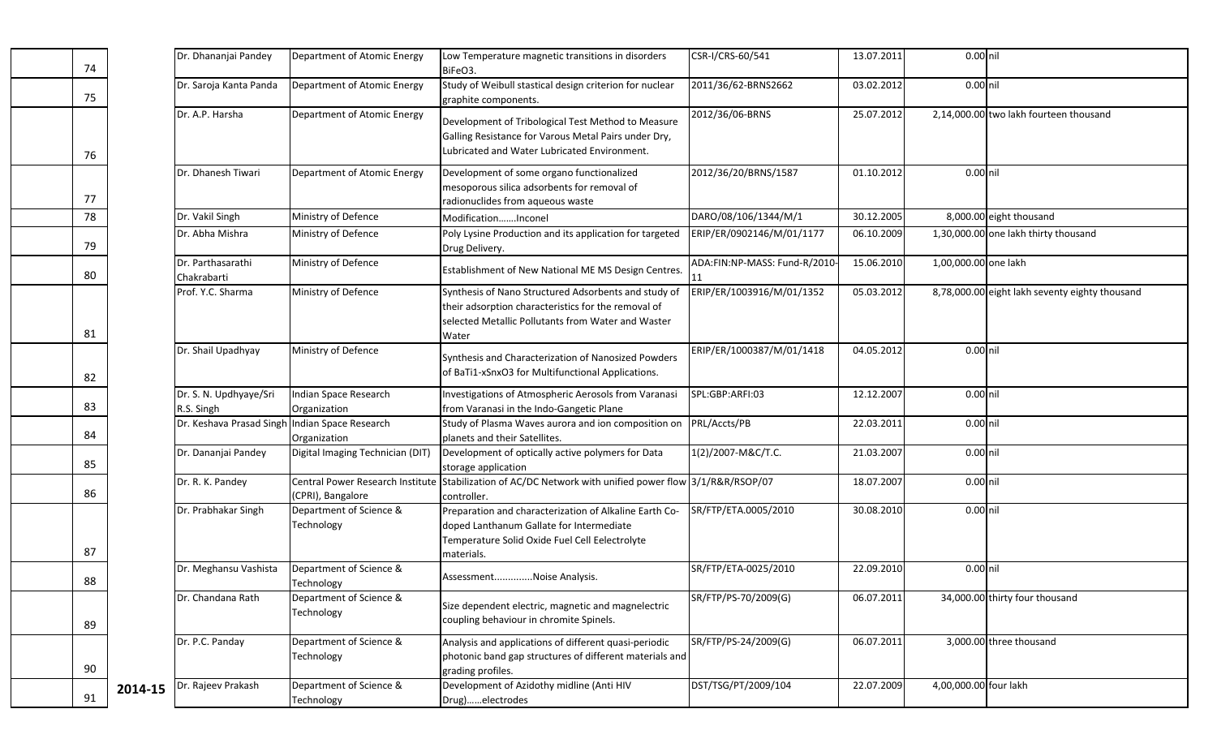| 74 |         | Dr. Dhananjai Pandey                           | Department of Atomic Energy           | Low Temperature magnetic transitions in disorders<br>BiFeO3.                                                                                                               | CSR-I/CRS-60/541              | 13.07.2011 | 0.00 nil              |                                                |
|----|---------|------------------------------------------------|---------------------------------------|----------------------------------------------------------------------------------------------------------------------------------------------------------------------------|-------------------------------|------------|-----------------------|------------------------------------------------|
| 75 |         | Dr. Saroja Kanta Panda                         | Department of Atomic Energy           | Study of Weibull stastical design criterion for nuclear<br>graphite components.                                                                                            | 2011/36/62-BRNS2662           | 03.02.2012 | 0.00 nil              |                                                |
| 76 |         | Dr. A.P. Harsha                                | Department of Atomic Energy           | Development of Tribological Test Method to Measure<br>Galling Resistance for Varous Metal Pairs under Dry,<br>Lubricated and Water Lubricated Environment.                 | 2012/36/06-BRNS               | 25.07.2012 |                       | 2,14,000.00 two lakh fourteen thousand         |
| 77 |         | Dr. Dhanesh Tiwari                             | Department of Atomic Energy           | Development of some organo functionalized<br>mesoporous silica adsorbents for removal of<br>radionuclides from aqueous waste                                               | 2012/36/20/BRNS/1587          | 01.10.2012 | 0.00 nil              |                                                |
| 78 |         | Dr. Vakil Singh                                | Ministry of Defence                   | ModificationInconel                                                                                                                                                        | DARO/08/106/1344/M/1          | 30.12.2005 |                       | 8,000.00 eight thousand                        |
| 79 |         | Dr. Abha Mishra                                | Ministry of Defence                   | Poly Lysine Production and its application for targeted<br>Drug Delivery.                                                                                                  | ERIP/ER/0902146/M/01/1177     | 06.10.2009 |                       | 1,30,000.00 one lakh thirty thousand           |
| 80 |         | Dr. Parthasarathi<br>Chakrabarti               | Ministry of Defence                   | Establishment of New National ME MS Design Centres.                                                                                                                        | ADA:FIN:NP-MASS: Fund-R/2010- | 15.06.2010 | 1,00,000.00 one lakh  |                                                |
| 81 |         | Prof. Y.C. Sharma                              | Ministry of Defence                   | Synthesis of Nano Structured Adsorbents and study of<br>their adsorption characteristics for the removal of<br>selected Metallic Pollutants from Water and Waster<br>Water | ERIP/ER/1003916/M/01/1352     | 05.03.2012 |                       | 8,78,000.00 eight lakh seventy eighty thousand |
| 82 |         | Dr. Shail Upadhyay                             | Ministry of Defence                   | Synthesis and Characterization of Nanosized Powders<br>of BaTi1-xSnxO3 for Multifunctional Applications.                                                                   | ERIP/ER/1000387/M/01/1418     | 04.05.2012 | 0.00 nil              |                                                |
| 83 |         | Dr. S. N. Updhyaye/Sri<br>R.S. Singh           | Indian Space Research<br>Organization | Investigations of Atmospheric Aerosols from Varanasi<br>from Varanasi in the Indo-Gangetic Plane                                                                           | SPL:GBP:ARFI:03               | 12.12.2007 | 0.00 nil              |                                                |
| 84 |         | Dr. Keshava Prasad Singh Indian Space Research | Organization                          | Study of Plasma Waves aurora and ion composition on<br>planets and their Satellites.                                                                                       | PRL/Accts/PB                  | 22.03.2011 | 0.00 nil              |                                                |
| 85 |         | Dr. Dananjai Pandey                            | Digital Imaging Technician (DIT)      | Development of optically active polymers for Data<br>storage application                                                                                                   | 1(2)/2007-M&C/T.C.            | 21.03.2007 | 0.00 nil              |                                                |
| 86 |         | Dr. R. K. Pandey                               | (CPRI), Bangalore                     | Central Power Research Institute Stabilization of AC/DC Network with unified power flow 3/1/R&R/RSOP/07<br>controller.                                                     |                               | 18.07.2007 | 0.00 nil              |                                                |
| 87 |         | Dr. Prabhakar Singh                            | Department of Science &<br>Technology | Preparation and characterization of Alkaline Earth Co-<br>doped Lanthanum Gallate for Intermediate<br>Temperature Solid Oxide Fuel Cell Eelectrolyte<br>materials.         | SR/FTP/ETA.0005/2010          | 30.08.2010 | 0.00 nil              |                                                |
| 88 |         | Dr. Meghansu Vashista                          | Department of Science &<br>Technology | AssessmentNoise Analysis.                                                                                                                                                  | SR/FTP/ETA-0025/2010          | 22.09.2010 | 0.00 nil              |                                                |
| 89 |         | Dr. Chandana Rath                              | Department of Science &<br>Technology | Size dependent electric, magnetic and magnelectric<br>coupling behaviour in chromite Spinels.                                                                              | SR/FTP/PS-70/2009(G)          | 06.07.2011 |                       | 34,000.00 thirty four thousand                 |
| 90 |         | Dr. P.C. Panday                                | Department of Science &<br>Technology | Analysis and applications of different quasi-periodic<br>photonic band gap structures of different materials and<br>grading profiles.                                      | SR/FTP/PS-24/2009(G)          | 06.07.2011 |                       | 3,000.00 three thousand                        |
| 91 | 2014-15 | Dr. Rajeev Prakash                             | Department of Science &<br>Technology | Development of Azidothy midline (Anti HIV<br>Drug)electrodes                                                                                                               | DST/TSG/PT/2009/104           | 22.07.2009 | 4,00,000.00 four lakh |                                                |

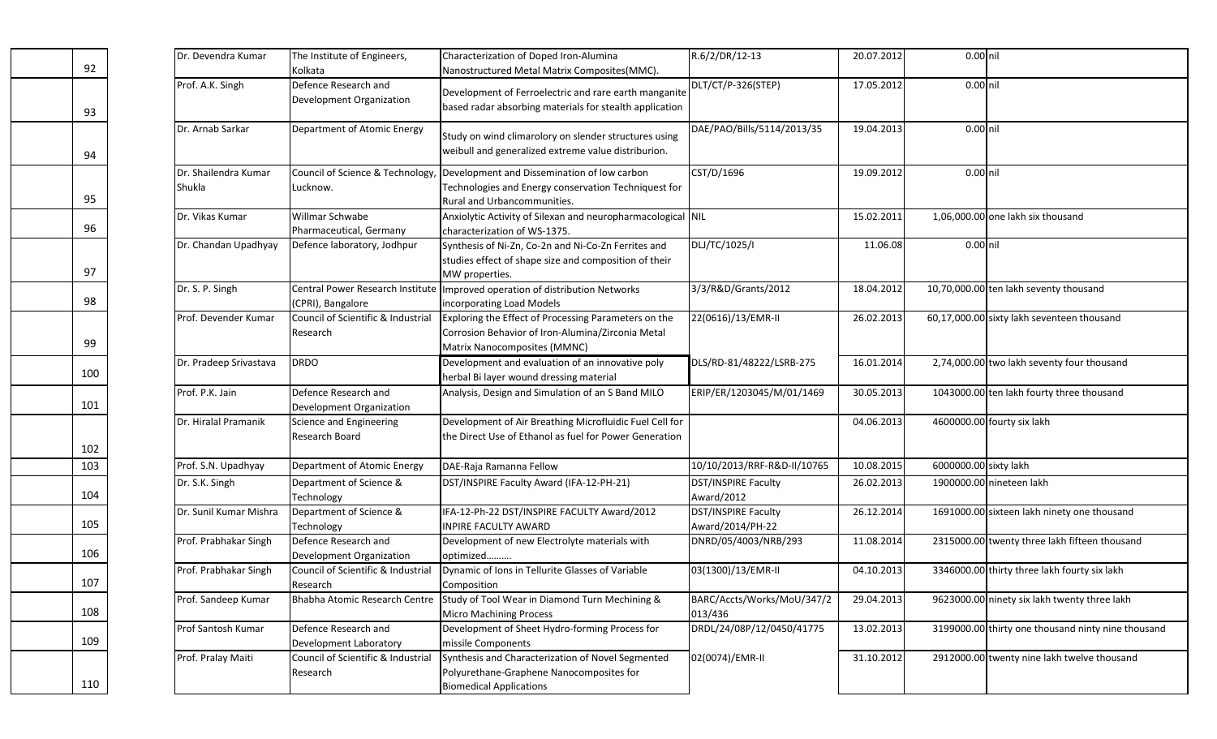|     | Dr. Devendra Kumar             | The Institute of Engineers,                           | Characterization of Doped Iron-Alumina                                                                                                    | R.6/2/DR/12-13                          | 20.07.2012 | 0.00 nil              |                                                    |
|-----|--------------------------------|-------------------------------------------------------|-------------------------------------------------------------------------------------------------------------------------------------------|-----------------------------------------|------------|-----------------------|----------------------------------------------------|
| 92  |                                | Kolkata                                               | Nanostructured Metal Matrix Composites(MMC).                                                                                              |                                         |            |                       |                                                    |
| 93  | Prof. A.K. Singh               | Defence Research and<br>Development Organization      | Development of Ferroelectric and rare earth manganite<br>based radar absorbing materials for stealth application                          | DLT/CT/P-326(STEP)                      | 17.05.2012 | 0.00 nil              |                                                    |
| 94  | Dr. Arnab Sarkar               | Department of Atomic Energy                           | Study on wind climarolory on slender structures using<br>weibull and generalized extreme value distriburion.                              | DAE/PAO/Bills/5114/2013/35              | 19.04.2013 | $0.00$ nil            |                                                    |
| 95  | Dr. Shailendra Kumar<br>Shukla | Council of Science & Technology,<br>Lucknow.          | Development and Dissemination of low carbon<br>Technologies and Energy conservation Techniquest for<br>Rural and Urbancommunities.        | CST/D/1696                              | 19.09.2012 | 0.00 nil              |                                                    |
| 96  | Dr. Vikas Kumar                | Willmar Schwabe<br>Pharmaceutical, Germany            | Anxiolytic Activity of Silexan and neuropharmacological NIL<br>characterization of WS-1375.                                               |                                         | 15.02.2011 |                       | 1,06,000.00 one lakh six thousand                  |
| 97  | Dr. Chandan Upadhyay           | Defence laboratory, Jodhpur                           | Synthesis of Ni-Zn, Co-2n and Ni-Co-Zn Ferrites and<br>studies effect of shape size and composition of their<br>MW properties.            | DLJ/TC/1025/I                           | 11.06.08   | 0.00 nil              |                                                    |
| 98  | Dr. S. P. Singh                | Central Power Research Institute<br>(CPRI), Bangalore | Improved operation of distribution Networks<br>incorporating Load Models                                                                  | 3/3/R&D/Grants/2012                     | 18.04.2012 |                       | 10,70,000.00 ten lakh seventy thousand             |
| 99  | Prof. Devender Kumar           | Council of Scientific & Industrial<br>Research        | Exploring the Effect of Processing Parameters on the<br>Corrosion Behavior of Iron-Alumina/Zirconia Metal<br>Matrix Nanocomposites (MMNC) | 22(0616)/13/EMR-II                      | 26.02.2013 |                       | 60,17,000.00 sixty lakh seventeen thousand         |
| 100 | Dr. Pradeep Srivastava         | <b>DRDO</b>                                           | Development and evaluation of an innovative poly<br>herbal Bi layer wound dressing material                                               | DLS/RD-81/48222/LSRB-275                | 16.01.2014 |                       | 2,74,000.00 two lakh seventy four thousand         |
| 101 | Prof. P.K. Jain                | Defence Research and<br>Development Organization      | Analysis, Design and Simulation of an S Band MILO                                                                                         | ERIP/ER/1203045/M/01/1469               | 30.05.2013 |                       | 1043000.00 ten lakh fourty three thousand          |
| 102 | Dr. Hiralal Pramanik           | Science and Engineering<br>Research Board             | Development of Air Breathing Microfluidic Fuel Cell for<br>the Direct Use of Ethanol as fuel for Power Generation                         |                                         | 04.06.2013 |                       | 4600000.00 fourty six lakh                         |
| 103 | Prof. S.N. Upadhyay            | Department of Atomic Energy                           | DAE-Raja Ramanna Fellow                                                                                                                   | 10/10/2013/RRF-R&D-II/10765             | 10.08.2015 | 6000000.00 sixty lakh |                                                    |
| 104 | Dr. S.K. Singh                 | Department of Science &<br>Technology                 | DST/INSPIRE Faculty Award (IFA-12-PH-21)                                                                                                  | DST/INSPIRE Faculty<br>Award/2012       | 26.02.2013 |                       | 1900000.00 nineteen lakh                           |
| 105 | Dr. Sunil Kumar Mishra         | Department of Science &<br>Technology                 | IFA-12-Ph-22 DST/INSPIRE FACULTY Award/2012<br>INPIRE FACULTY AWARD                                                                       | DST/INSPIRE Faculty<br>Award/2014/PH-22 | 26.12.2014 |                       | 1691000.00 sixteen lakh ninety one thousand        |
| 106 | Prof. Prabhakar Singh          | Defence Research and<br>Development Organization      | Development of new Electrolyte materials with<br>optimized                                                                                | DNRD/05/4003/NRB/293                    | 11.08.2014 |                       | 2315000.00 twenty three lakh fifteen thousand      |
| 107 | Prof. Prabhakar Singh          | Council of Scientific & Industrial<br>Research        | Dynamic of Ions in Tellurite Glasses of Variable<br>Composition                                                                           | 03(1300)/13/EMR-II                      | 04.10.2013 |                       | 3346000.00 thirty three lakh fourty six lakh       |
| 108 | Prof. Sandeep Kumar            | Bhabha Atomic Research Centre                         | Study of Tool Wear in Diamond Turn Mechining &<br><b>Micro Machining Process</b>                                                          | BARC/Accts/Works/MoU/347/2<br>013/436   | 29.04.2013 |                       | 9623000.00 ninety six lakh twenty three lakh       |
| 109 | Prof Santosh Kumar             | Defence Research and<br>Development Laboratory        | Development of Sheet Hydro-forming Process for<br>missile Components                                                                      | DRDL/24/08P/12/0450/41775               | 13.02.2013 |                       | 3199000.00 thirty one thousand ninty nine thousand |
| 110 | Prof. Pralay Maiti             | Council of Scientific & Industrial<br>Research        | Synthesis and Characterization of Novel Segmented<br>Polyurethane-Graphene Nanocomposites for<br><b>Biomedical Applications</b>           | 02(0074)/EMR-II                         | 31.10.2012 |                       | 2912000.00 twenty nine lakh twelve thousand        |

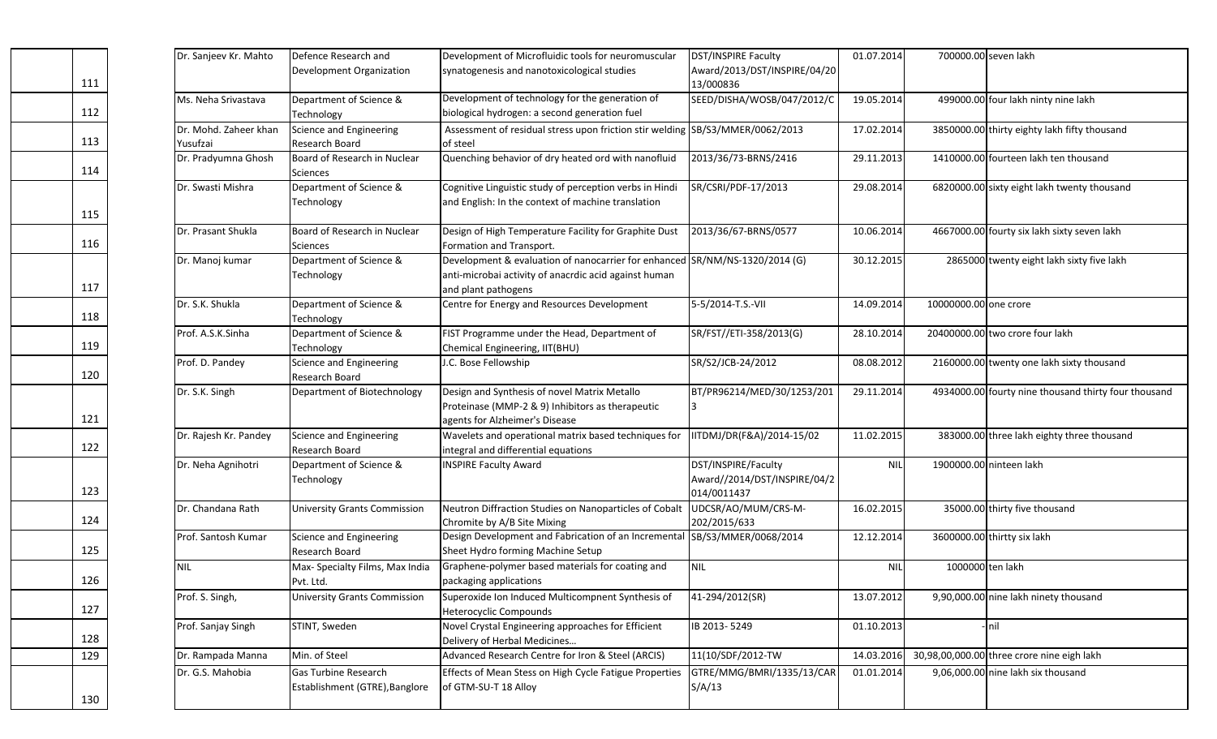|     | Dr. Sanjeev Kr. Mahto | Defence Research and                | Development of Microfluidic tools for neuromuscular                           | DST/INSPIRE Faculty                         | 01.07.2014 | 700000.00 seven lakh  |                                                      |
|-----|-----------------------|-------------------------------------|-------------------------------------------------------------------------------|---------------------------------------------|------------|-----------------------|------------------------------------------------------|
|     |                       | Development Organization            | synatogenesis and nanotoxicological studies                                   | Award/2013/DST/INSPIRE/04/20                |            |                       |                                                      |
| 111 |                       |                                     |                                                                               | 13/000836                                   |            |                       |                                                      |
|     | Ms. Neha Srivastava   | Department of Science &             | Development of technology for the generation of                               | SEED/DISHA/WOSB/047/2012/C                  | 19.05.2014 |                       | 499000.00 four lakh ninty nine lakh                  |
| 112 |                       | Technology                          | biological hydrogen: a second generation fuel                                 |                                             |            |                       |                                                      |
|     | Dr. Mohd. Zaheer khan | Science and Engineering             | Assessment of residual stress upon friction stir welding SB/S3/MMER/0062/2013 |                                             | 17.02.2014 |                       | 3850000.00 thirty eighty lakh fifty thousand         |
| 113 | Yusufzai              | Research Board                      | of steel                                                                      |                                             |            |                       |                                                      |
|     | Dr. Pradyumna Ghosh   | Board of Research in Nuclear        | Quenching behavior of dry heated ord with nanofluid                           | 2013/36/73-BRNS/2416                        | 29.11.2013 |                       | 1410000.00 fourteen lakh ten thousand                |
| 114 |                       | <b>Sciences</b>                     |                                                                               |                                             |            |                       |                                                      |
|     | Dr. Swasti Mishra     | Department of Science &             | Cognitive Linguistic study of perception verbs in Hindi                       | SR/CSRI/PDF-17/2013                         | 29.08.2014 |                       | 6820000.00 sixty eight lakh twenty thousand          |
|     |                       | Technology                          | and English: In the context of machine translation                            |                                             |            |                       |                                                      |
| 115 |                       |                                     |                                                                               |                                             |            |                       |                                                      |
|     | Dr. Prasant Shukla    | Board of Research in Nuclear        | Design of High Temperature Facility for Graphite Dust                         | 2013/36/67-BRNS/0577                        | 10.06.2014 |                       | 4667000.00 fourty six lakh sixty seven lakh          |
| 116 |                       | <b>Sciences</b>                     | Formation and Transport.                                                      |                                             |            |                       |                                                      |
|     | Dr. Manoj kumar       | Department of Science &             | Development & evaluation of nanocarrier for enhanced SR/NM/NS-1320/2014 (G)   |                                             | 30.12.2015 |                       | 2865000 twenty eight lakh sixty five lakh            |
|     |                       | Technology                          | anti-microbai activity of anacrdic acid against human                         |                                             |            |                       |                                                      |
| 117 |                       |                                     | and plant pathogens                                                           |                                             |            |                       |                                                      |
|     | Dr. S.K. Shukla       | Department of Science &             | Centre for Energy and Resources Development                                   | 5-5/2014-T.S.-VII                           | 14.09.2014 | 10000000.00 one crore |                                                      |
| 118 |                       | Technology                          |                                                                               |                                             |            |                       |                                                      |
|     | Prof. A.S.K.Sinha     | Department of Science &             | FIST Programme under the Head, Department of                                  | SR/FST//ETI-358/2013(G)                     | 28.10.2014 |                       | 20400000.00 two crore four lakh                      |
| 119 |                       | Technology                          | Chemical Engineering, IIT(BHU)                                                |                                             |            |                       |                                                      |
|     | Prof. D. Pandey       | Science and Engineering             | J.C. Bose Fellowship                                                          | SR/S2/JCB-24/2012                           | 08.08.2012 |                       | 2160000.00 twenty one lakh sixty thousand            |
| 120 |                       | Research Board                      |                                                                               |                                             |            |                       |                                                      |
|     | Dr. S.K. Singh        | Department of Biotechnology         | Design and Synthesis of novel Matrix Metallo                                  | BT/PR96214/MED/30/1253/201                  | 29.11.2014 |                       | 4934000.00 fourty nine thousand thirty four thousand |
| 121 |                       |                                     | Proteinase (MMP-2 & 9) Inhibitors as therapeutic                              |                                             |            |                       |                                                      |
|     |                       |                                     | agents for Alzheimer's Disease                                                |                                             |            |                       |                                                      |
| 122 | Dr. Rajesh Kr. Pandey | Science and Engineering             | Wavelets and operational matrix based techniques for                          | ITDMJ/DR(F&A)/2014-15/02                    | 11.02.2015 |                       | 383000.00 three lakh eighty three thousand           |
|     |                       | Research Board                      | integral and differential equations                                           |                                             |            |                       |                                                      |
|     | Dr. Neha Agnihotri    | Department of Science &             | <b>INSPIRE Faculty Award</b>                                                  | DST/INSPIRE/Faculty                         | <b>NIL</b> |                       | 1900000.00 ninteen lakh                              |
| 123 |                       | Technology                          |                                                                               | Award//2014/DST/INSPIRE/04/2<br>014/0011437 |            |                       |                                                      |
|     | Dr. Chandana Rath     | <b>University Grants Commission</b> | Neutron Diffraction Studies on Nanoparticles of Cobalt                        | UDCSR/AO/MUM/CRS-M-                         | 16.02.2015 |                       | 35000.00 thirty five thousand                        |
| 124 |                       |                                     | Chromite by A/B Site Mixing                                                   | 202/2015/633                                |            |                       |                                                      |
|     | Prof. Santosh Kumar   | Science and Engineering             | Design Development and Fabrication of an Incrementa                           | SB/S3/MMER/0068/2014                        | 12.12.2014 |                       | 3600000.00 thirtty six lakh                          |
| 125 |                       | Research Board                      | Sheet Hydro forming Machine Setup                                             |                                             |            |                       |                                                      |
|     | <b>NIL</b>            | Max- Specialty Films, Max India     | Graphene-polymer based materials for coating and                              | <b>NIL</b>                                  | <b>NIL</b> | 1000000 ten lakh      |                                                      |
| 126 |                       | Pvt. Ltd.                           | packaging applications                                                        |                                             |            |                       |                                                      |
|     | Prof. S. Singh,       | <b>University Grants Commission</b> | Superoxide Ion Induced Multicompnent Synthesis of                             | 41-294/2012(SR)                             | 13.07.2012 |                       | 9,90,000.00 nine lakh ninety thousand                |
| 127 |                       |                                     | <b>Heterocyclic Compounds</b>                                                 |                                             |            |                       |                                                      |
|     | Prof. Sanjay Singh    | STINT, Sweden                       | Novel Crystal Engineering approaches for Efficient                            | IB 2013-5249                                | 01.10.2013 |                       | - <b>I</b> nil                                       |
| 128 |                       |                                     | Delivery of Herbal Medicines                                                  |                                             |            |                       |                                                      |
| 129 | Dr. Rampada Manna     | Min. of Steel                       | Advanced Research Centre for Iron & Steel (ARCIS)                             | 11(10/SDF/2012-TW                           | 14.03.2016 |                       | 30,98,00,000.00 three crore nine eigh lakh           |
|     |                       |                                     |                                                                               |                                             |            |                       |                                                      |
|     | Dr. G.S. Mahobia      | Gas Turbine Research                | Effects of Mean Stess on High Cycle Fatigue Properties                        | GTRE/MMG/BMRI/1335/13/CAR                   | 01.01.2014 |                       | 9,06,000.00 nine lakh six thousand                   |
| 130 |                       | Establishment (GTRE), Banglore      | of GTM-SU-T 18 Alloy                                                          | S/A/13                                      |            |                       |                                                      |
|     |                       |                                     |                                                                               |                                             |            |                       |                                                      |

| 111             |
|-----------------|
|                 |
| 112             |
| 113             |
| 114             |
|                 |
| 115             |
| 116             |
|                 |
| 117             |
| 118             |
| 119             |
| 120             |
|                 |
| 121             |
| 122             |
|                 |
| 123             |
| 124             |
| 125             |
| 126             |
| 127             |
| 128             |
| <u>.</u><br>129 |
|                 |
| 130             |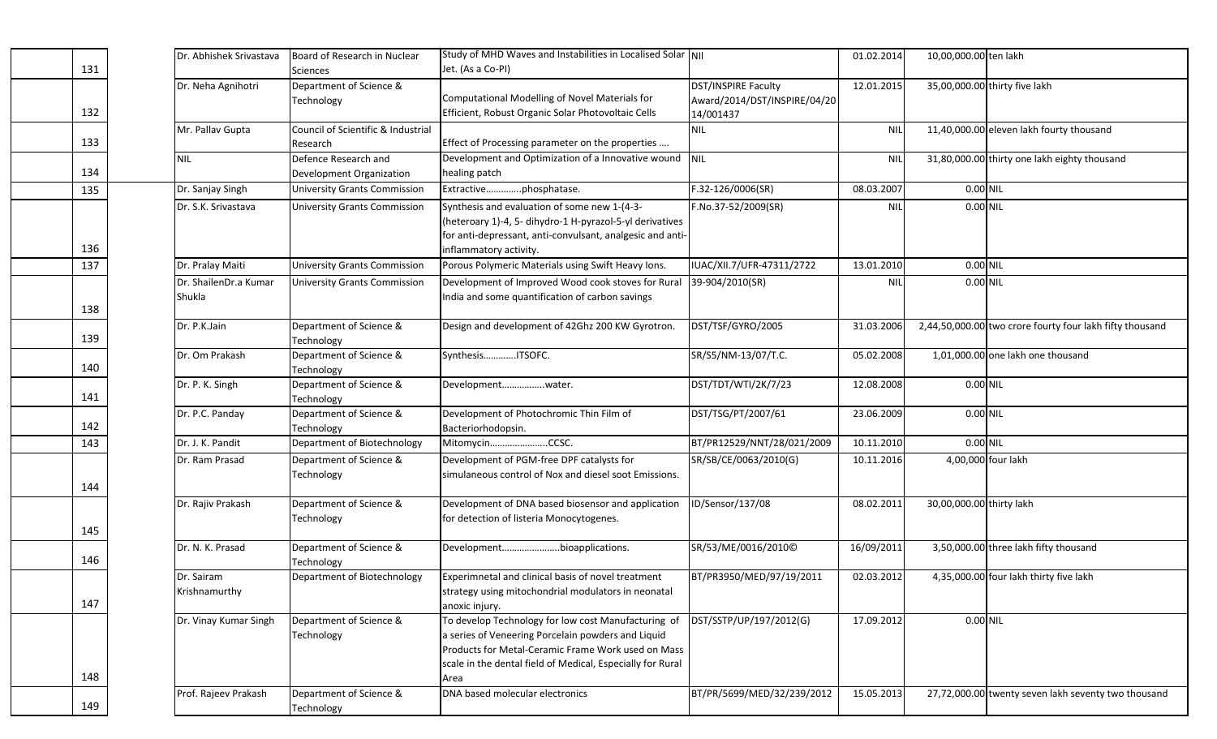| 131 | Dr. Abhishek Srivastava | Board of Research in Nuclear<br>Sciences | Study of MHD Waves and Instabilities in Localised Solar  NII<br>Jet. (As a Co-PI) |                              | 01.02.2014 | 10,00,000.00 ten lakh    |                                                          |
|-----|-------------------------|------------------------------------------|-----------------------------------------------------------------------------------|------------------------------|------------|--------------------------|----------------------------------------------------------|
|     | Dr. Neha Agnihotri      | Department of Science &                  |                                                                                   | DST/INSPIRE Faculty          | 12.01.2015 |                          | 35,00,000.00 thirty five lakh                            |
|     |                         |                                          | Computational Modelling of Novel Materials for                                    |                              |            |                          |                                                          |
|     |                         | Technology                               |                                                                                   | Award/2014/DST/INSPIRE/04/20 |            |                          |                                                          |
| 132 |                         |                                          | Efficient, Robust Organic Solar Photovoltaic Cells                                | 14/001437                    |            |                          |                                                          |
|     | Mr. Pallav Gupta        | Council of Scientific & Industrial       |                                                                                   | NIL                          | <b>NIL</b> |                          | 11,40,000.00 eleven lakh fourty thousand                 |
| 133 |                         | Research                                 | Effect of Processing parameter on the properties                                  |                              |            |                          |                                                          |
|     | <b>NIL</b>              | Defence Research and                     | Development and Optimization of a Innovative wound                                | <b>NIL</b>                   | <b>NIL</b> |                          | 31,80,000.00 thirty one lakh eighty thousand             |
| 134 |                         | Development Organization                 | healing patch                                                                     |                              |            |                          |                                                          |
| 135 | Dr. Sanjay Singh        | <b>University Grants Commission</b>      | Extractivephosphatase.                                                            | F.32-126/0006(SR)            | 08.03.2007 | 0.00 NIL                 |                                                          |
|     | Dr. S.K. Srivastava     | <b>University Grants Commission</b>      | Synthesis and evaluation of some new 1-(4-3-                                      | F.No.37-52/2009(SR)          | <b>NIL</b> | 0.00 NIL                 |                                                          |
|     |                         |                                          | (heteroary 1)-4, 5- dihydro-1 H-pyrazol-5-yl derivatives                          |                              |            |                          |                                                          |
|     |                         |                                          | for anti-depressant, anti-convulsant, analgesic and anti-                         |                              |            |                          |                                                          |
| 136 |                         |                                          | inflammatory activity.                                                            |                              |            |                          |                                                          |
|     |                         |                                          |                                                                                   |                              |            |                          |                                                          |
| 137 | Dr. Pralay Maiti        | <b>University Grants Commission</b>      | Porous Polymeric Materials using Swift Heavy Ions.                                | IUAC/XII.7/UFR-47311/2722    | 13.01.2010 | 0.00 NIL                 |                                                          |
|     | Dr. ShailenDr.a Kumar   | <b>University Grants Commission</b>      | Development of Improved Wood cook stoves for Rural                                | 39-904/2010(SR)              | <b>NIL</b> | 0.00 NIL                 |                                                          |
|     | Shukla                  |                                          | India and some quantification of carbon savings                                   |                              |            |                          |                                                          |
| 138 |                         |                                          |                                                                                   |                              |            |                          |                                                          |
|     | Dr. P.K.Jain            | Department of Science &                  | Design and development of 42Ghz 200 KW Gyrotron.                                  | DST/TSF/GYRO/2005            | 31.03.2006 |                          | 2,44,50,000.00 two crore fourty four lakh fifty thousand |
| 139 |                         | Technology                               |                                                                                   |                              |            |                          |                                                          |
|     | Dr. Om Prakash          | Department of Science &                  | SynthesisITSOFC.                                                                  | SR/S5/NM-13/07/T.C.          | 05.02.2008 |                          | 1,01,000.00 one lakh one thousand                        |
| 140 |                         | Technology                               |                                                                                   |                              |            |                          |                                                          |
|     | Dr. P. K. Singh         | Department of Science &                  | Developmentwater.                                                                 | DST/TDT/WTI/2K/7/23          | 12.08.2008 | 0.00 NIL                 |                                                          |
| 141 |                         | Technology                               |                                                                                   |                              |            |                          |                                                          |
|     | Dr. P.C. Panday         | Department of Science &                  | Development of Photochromic Thin Film of                                          | DST/TSG/PT/2007/61           | 23.06.2009 | 0.00 NIL                 |                                                          |
| 142 |                         |                                          |                                                                                   |                              |            |                          |                                                          |
|     |                         | Technology                               | Bacteriorhodopsin.                                                                |                              |            |                          |                                                          |
| 143 | Dr. J. K. Pandit        | Department of Biotechnology              | MitomycinCCSC.                                                                    | BT/PR12529/NNT/28/021/2009   | 10.11.2010 | 0.00 NIL                 |                                                          |
|     | Dr. Ram Prasad          | Department of Science &                  | Development of PGM-free DPF catalysts for                                         | SR/SB/CE/0063/2010(G)        | 10.11.2016 |                          | 4,00,000 four lakh                                       |
|     |                         | Technology                               | simulaneous control of Nox and diesel soot Emissions.                             |                              |            |                          |                                                          |
| 144 |                         |                                          |                                                                                   |                              |            |                          |                                                          |
|     | Dr. Rajiv Prakash       | Department of Science &                  | Development of DNA based biosensor and application                                | ID/Sensor/137/08             | 08.02.2011 | 30,00,000.00 thirty lakh |                                                          |
|     |                         | Technology                               | for detection of listeria Monocytogenes.                                          |                              |            |                          |                                                          |
| 145 |                         |                                          |                                                                                   |                              |            |                          |                                                          |
|     | Dr. N. K. Prasad        | Department of Science &                  | Developmentbioapplications.                                                       | SR/53/ME/0016/2010©          | 16/09/2011 |                          | 3,50,000.00 three lakh fifty thousand                    |
| 146 |                         | Technology                               |                                                                                   |                              |            |                          |                                                          |
|     | Dr. Sairam              | Department of Biotechnology              | Experimnetal and clinical basis of novel treatment                                | BT/PR3950/MED/97/19/2011     | 02.03.2012 |                          | 4,35,000.00 four lakh thirty five lakh                   |
|     | Krishnamurthy           |                                          | strategy using mitochondrial modulators in neonatal                               |                              |            |                          |                                                          |
| 147 |                         |                                          |                                                                                   |                              |            |                          |                                                          |
|     |                         |                                          | anoxic injury.                                                                    |                              |            |                          |                                                          |
|     | Dr. Vinay Kumar Singh   | Department of Science &                  | To develop Technology for low cost Manufacturing of                               | DST/SSTP/UP/197/2012(G)      | 17.09.2012 | 0.00 NIL                 |                                                          |
|     |                         | Technology                               | a series of Veneering Porcelain powders and Liquid                                |                              |            |                          |                                                          |
|     |                         |                                          | Products for Metal-Ceramic Frame Work used on Mass                                |                              |            |                          |                                                          |
|     |                         |                                          | scale in the dental field of Medical, Especially for Rural                        |                              |            |                          |                                                          |
| 148 |                         |                                          | Area                                                                              |                              |            |                          |                                                          |
|     | Prof. Rajeev Prakash    | Department of Science &                  | DNA based molecular electronics                                                   | BT/PR/5699/MED/32/239/2012   | 15.05.2013 |                          | 27,72,000.00 twenty seven lakh seventy two thousand      |
| 149 |                         | Technology                               |                                                                                   |                              |            |                          |                                                          |

132

133

 $\frac{134}{135}$ 

 $\frac{136}{137}$ 

138

139

140

141

142

144

145

146

147

148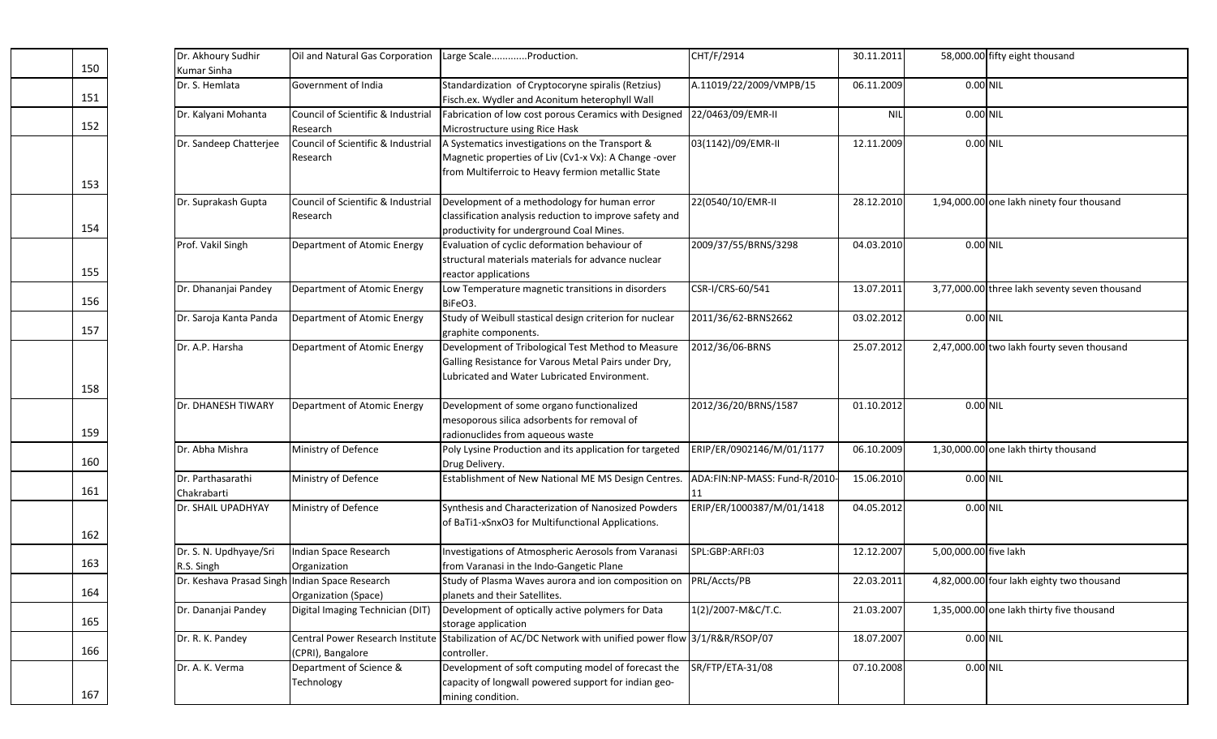| Dr. Akhoury Sudhir<br>Kumar Sinha              | Oil and Natural Gas Corporation                | Large ScaleProduction.                                                                                                                                        | CHT/F/2914                          | 30.11.2011 |                       | 58,000.00 fifty eight thousand                |
|------------------------------------------------|------------------------------------------------|---------------------------------------------------------------------------------------------------------------------------------------------------------------|-------------------------------------|------------|-----------------------|-----------------------------------------------|
| Dr. S. Hemlata                                 | Government of India                            | Standardization of Cryptocoryne spiralis (Retzius)<br>Fisch.ex. Wydler and Aconitum heterophyll Wall                                                          | A.11019/22/2009/VMPB/15             | 06.11.2009 | 0.00 NIL              |                                               |
| Dr. Kalyani Mohanta                            | Council of Scientific & Industrial<br>Research | Fabrication of low cost porous Ceramics with Designed<br>Microstructure using Rice Hask                                                                       | 22/0463/09/EMR-II                   | <b>NIL</b> | 0.00 NIL              |                                               |
| Dr. Sandeep Chatterjee                         | Council of Scientific & Industrial<br>Research | A Systematics investigations on the Transport &<br>Magnetic properties of Liv (Cv1-x Vx): A Change -over<br>from Multiferroic to Heavy fermion metallic State | 03(1142)/09/EMR-II                  | 12.11.2009 | 0.00 NIL              |                                               |
| Dr. Suprakash Gupta                            | Council of Scientific & Industrial<br>Research | Development of a methodology for human error<br>classification analysis reduction to improve safety and<br>productivity for underground Coal Mines.           | 22(0540/10/EMR-II                   | 28.12.2010 |                       | 1,94,000.00 one lakh ninety four thousand     |
| Prof. Vakil Singh                              | Department of Atomic Energy                    | Evaluation of cyclic deformation behaviour of<br>structural materials materials for advance nuclear<br>reactor applications                                   | 2009/37/55/BRNS/3298                | 04.03.2010 | 0.00 NIL              |                                               |
| Dr. Dhananjai Pandey                           | Department of Atomic Energy                    | Low Temperature magnetic transitions in disorders<br>BiFeO3.                                                                                                  | CSR-I/CRS-60/541                    | 13.07.2011 |                       | 3,77,000.00 three lakh seventy seven thousand |
| Dr. Saroja Kanta Panda                         | Department of Atomic Energy                    | Study of Weibull stastical design criterion for nuclear<br>graphite components.                                                                               | 2011/36/62-BRNS2662                 | 03.02.2012 | 0.00 NIL              |                                               |
| Dr. A.P. Harsha                                | Department of Atomic Energy                    | Development of Tribological Test Method to Measure<br>Galling Resistance for Varous Metal Pairs under Dry,<br>Lubricated and Water Lubricated Environment.    | 2012/36/06-BRNS                     | 25.07.2012 |                       | 2,47,000.00 two lakh fourty seven thousand    |
| Dr. DHANESH TIWARY                             | Department of Atomic Energy                    | Development of some organo functionalized<br>mesoporous silica adsorbents for removal of<br>radionuclides from aqueous waste                                  | 2012/36/20/BRNS/1587                | 01.10.2012 | 0.00 NIL              |                                               |
| Dr. Abha Mishra                                | Ministry of Defence                            | Poly Lysine Production and its application for targeted<br>Drug Delivery.                                                                                     | ERIP/ER/0902146/M/01/1177           | 06.10.2009 |                       | 1,30,000.00 one lakh thirty thousand          |
| Dr. Parthasarathi<br>Chakrabarti               | Ministry of Defence                            | Establishment of New National ME MS Design Centres.                                                                                                           | ADA:FIN:NP-MASS: Fund-R/2010-<br>11 | 15.06.2010 | 0.00 NIL              |                                               |
| Dr. SHAIL UPADHYAY                             | Ministry of Defence                            | Synthesis and Characterization of Nanosized Powders<br>of BaTi1-xSnxO3 for Multifunctional Applications.                                                      | ERIP/ER/1000387/M/01/1418           | 04.05.2012 | 0.00 NIL              |                                               |
| Dr. S. N. Updhyaye/Sri<br>R.S. Singh           | Indian Space Research<br>Organization          | Investigations of Atmospheric Aerosols from Varanasi<br>from Varanasi in the Indo-Gangetic Plane                                                              | SPL:GBP:ARFI:03                     | 12.12.2007 | 5,00,000.00 five lakh |                                               |
| Dr. Keshava Prasad Singh Indian Space Research | Organization (Space)                           | Study of Plasma Waves aurora and ion composition on<br>planets and their Satellites.                                                                          | PRL/Accts/PB                        | 22.03.2011 |                       | 4,82,000.00 four lakh eighty two thousand     |
| Dr. Dananjai Pandey                            | Digital Imaging Technician (DIT)               | Development of optically active polymers for Data<br>storage application                                                                                      | 1(2)/2007-M&C/T.C.                  | 21.03.2007 |                       | 1,35,000.00 one lakh thirty five thousand     |
| Dr. R. K. Pandey                               | (CPRI), Bangalore                              | Central Power Research Institute Stabilization of AC/DC Network with unified power flow 3/1/R&R/RSOP/07<br>controller.                                        |                                     | 18.07.2007 | 0.00 NIL              |                                               |
| Dr. A. K. Verma                                | Department of Science &<br>Technology          | Development of soft computing model of forecast the SR/FTP/ETA-31/08<br>capacity of longwall powered support for indian geo-<br>mining condition.             |                                     | 07.10.2008 | 0.00 NIL              |                                               |

151

152

153

154

155

156

157

158

159

160

161

162

163

164

165

166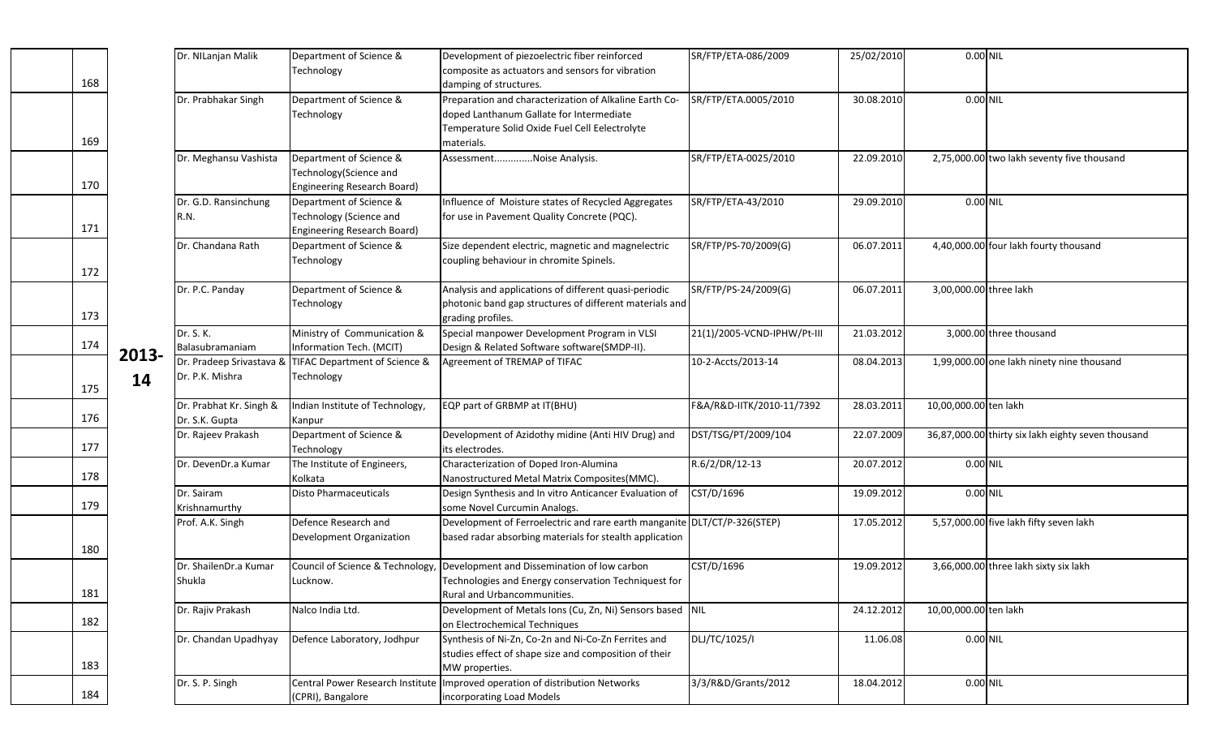|       | Dr. NILanjan Malik       | Department of Science &          | Development of piezoelectric fiber reinforced                            | SR/FTP/ETA-086/2009         | 25/02/2010 | $0.00$ NIL             |                                                    |
|-------|--------------------------|----------------------------------|--------------------------------------------------------------------------|-----------------------------|------------|------------------------|----------------------------------------------------|
|       |                          | Technology                       | composite as actuators and sensors for vibration                         |                             |            |                        |                                                    |
|       |                          |                                  | damping of structures.                                                   |                             |            |                        |                                                    |
|       | Dr. Prabhakar Singh      | Department of Science &          | Preparation and characterization of Alkaline Earth Co-                   | SR/FTP/ETA.0005/2010        | 30.08.2010 | 0.00 NIL               |                                                    |
|       |                          | Technology                       | doped Lanthanum Gallate for Intermediate                                 |                             |            |                        |                                                    |
|       |                          |                                  |                                                                          |                             |            |                        |                                                    |
|       |                          |                                  | Temperature Solid Oxide Fuel Cell Eelectrolyte                           |                             |            |                        |                                                    |
|       |                          |                                  | materials.                                                               |                             |            |                        |                                                    |
|       | Dr. Meghansu Vashista    | Department of Science &          | AssessmentNoise Analysis.                                                | SR/FTP/ETA-0025/2010        | 22.09.2010 |                        | 2,75,000.00 two lakh seventy five thousand         |
|       |                          | Technology(Science and           |                                                                          |                             |            |                        |                                                    |
|       |                          | Engineering Research Board)      |                                                                          |                             |            |                        |                                                    |
|       | Dr. G.D. Ransinchung     | Department of Science &          | Influence of Moisture states of Recycled Aggregates                      | SR/FTP/ETA-43/2010          | 29.09.2010 | 0.00 NIL               |                                                    |
|       | R.N.                     | Technology (Science and          | for use in Pavement Quality Concrete (PQC).                              |                             |            |                        |                                                    |
|       |                          |                                  |                                                                          |                             |            |                        |                                                    |
|       |                          | Engineering Research Board)      |                                                                          |                             |            |                        |                                                    |
|       | Dr. Chandana Rath        | Department of Science &          | Size dependent electric, magnetic and magnelectric                       | SR/FTP/PS-70/2009(G)        | 06.07.2011 |                        | 4,40,000.00 four lakh fourty thousand              |
|       |                          | Technology                       | coupling behaviour in chromite Spinels.                                  |                             |            |                        |                                                    |
|       |                          |                                  |                                                                          |                             |            |                        |                                                    |
|       | Dr. P.C. Panday          | Department of Science &          | Analysis and applications of different quasi-periodic                    | SR/FTP/PS-24/2009(G)        | 06.07.2011 | 3,00,000.00 three lakh |                                                    |
|       |                          | Technology                       | photonic band gap structures of different materials and                  |                             |            |                        |                                                    |
|       |                          |                                  | grading profiles.                                                        |                             |            |                        |                                                    |
|       | Dr. S. K.                | Ministry of Communication &      | Special manpower Development Program in VLSI                             | 21(1)/2005-VCND-IPHW/Pt-III | 21.03.2012 |                        | 3,000.00 three thousand                            |
|       |                          |                                  |                                                                          |                             |            |                        |                                                    |
| 2013- | Balasubramaniam          | Information Tech. (MCIT)         | Design & Related Software software(SMDP-II).                             |                             |            |                        |                                                    |
|       | Dr. Pradeep Srivastava & | TIFAC Department of Science &    | Agreement of TREMAP of TIFAC                                             | 10-2-Accts/2013-14          | 08.04.2013 |                        | 1,99,000.00 one lakh ninety nine thousand          |
| 14    | Dr. P.K. Mishra          | Technology                       |                                                                          |                             |            |                        |                                                    |
|       |                          |                                  |                                                                          |                             |            |                        |                                                    |
|       | Dr. Prabhat Kr. Singh &  | Indian Institute of Technology,  | EQP part of GRBMP at IT(BHU)                                             | F&A/R&D-IITK/2010-11/7392   | 28.03.2011 | 10,00,000.00 ten lakh  |                                                    |
|       | Dr. S.K. Gupta           | Kanpur                           |                                                                          |                             |            |                        |                                                    |
|       | Dr. Rajeev Prakash       | Department of Science &          | Development of Azidothy midine (Anti HIV Drug) and                       | DST/TSG/PT/2009/104         | 22.07.2009 |                        | 36,87,000.00 thirty six lakh eighty seven thousand |
|       |                          | Technology                       | its electrodes.                                                          |                             |            |                        |                                                    |
|       | Dr. DevenDr.a Kumar      | The Institute of Engineers,      | Characterization of Doped Iron-Alumina                                   | R.6/2/DR/12-13              | 20.07.2012 | 0.00 NIL               |                                                    |
|       |                          | Kolkata                          | Nanostructured Metal Matrix Composites(MMC).                             |                             |            |                        |                                                    |
|       |                          |                                  |                                                                          |                             |            |                        |                                                    |
|       | Dr. Sairam               | <b>Disto Pharmaceuticals</b>     | Design Synthesis and In vitro Anticancer Evaluation of                   | CST/D/1696                  | 19.09.2012 | 0.00 NIL               |                                                    |
|       | Krishnamurthy            |                                  | some Novel Curcumin Analogs.                                             |                             |            |                        |                                                    |
|       | Prof. A.K. Singh         | Defence Research and             | Development of Ferroelectric and rare earth manganite DLT/CT/P-326(STEP) |                             | 17.05.2012 |                        | 5,57,000.00 five lakh fifty seven lakh             |
|       |                          | Development Organization         | based radar absorbing materials for stealth application                  |                             |            |                        |                                                    |
|       |                          |                                  |                                                                          |                             |            |                        |                                                    |
|       | Dr. ShailenDr.a Kumar    | Council of Science & Technology  | Development and Dissemination of low carbon                              | CST/D/1696                  | 19.09.2012 |                        | 3,66,000.00 three lakh sixty six lakh              |
|       | Shukla                   | Lucknow.                         | Technologies and Energy conservation Techniquest for                     |                             |            |                        |                                                    |
|       |                          |                                  | Rural and Urbancommunities.                                              |                             |            |                        |                                                    |
|       | Dr. Rajiv Prakash        | Nalco India Ltd.                 | Development of Metals Ions (Cu, Zn, Ni) Sensors based NIL                |                             | 24.12.2012 | 10,00,000.00 ten lakh  |                                                    |
|       |                          |                                  | on Electrochemical Techniques                                            |                             |            |                        |                                                    |
|       |                          |                                  | Synthesis of Ni-Zn, Co-2n and Ni-Co-Zn Ferrites and                      |                             |            |                        |                                                    |
|       | Dr. Chandan Upadhyay     | Defence Laboratory, Jodhpur      |                                                                          | DLJ/TC/1025/I               | 11.06.08   | 0.00 NIL               |                                                    |
|       |                          |                                  | studies effect of shape size and composition of their                    |                             |            |                        |                                                    |
|       |                          |                                  | MW properties.                                                           |                             |            |                        |                                                    |
|       | Dr. S. P. Singh          | Central Power Research Institute | Improved operation of distribution Networks                              | 3/3/R&D/Grants/2012         | 18.04.2012 | 0.00 NIL               |                                                    |
|       |                          | (CPRI), Bangalore                | incorporating Load Models                                                |                             |            |                        |                                                    |

169

170

171

172

173

174

175

176

177

178

179

180

181

182

183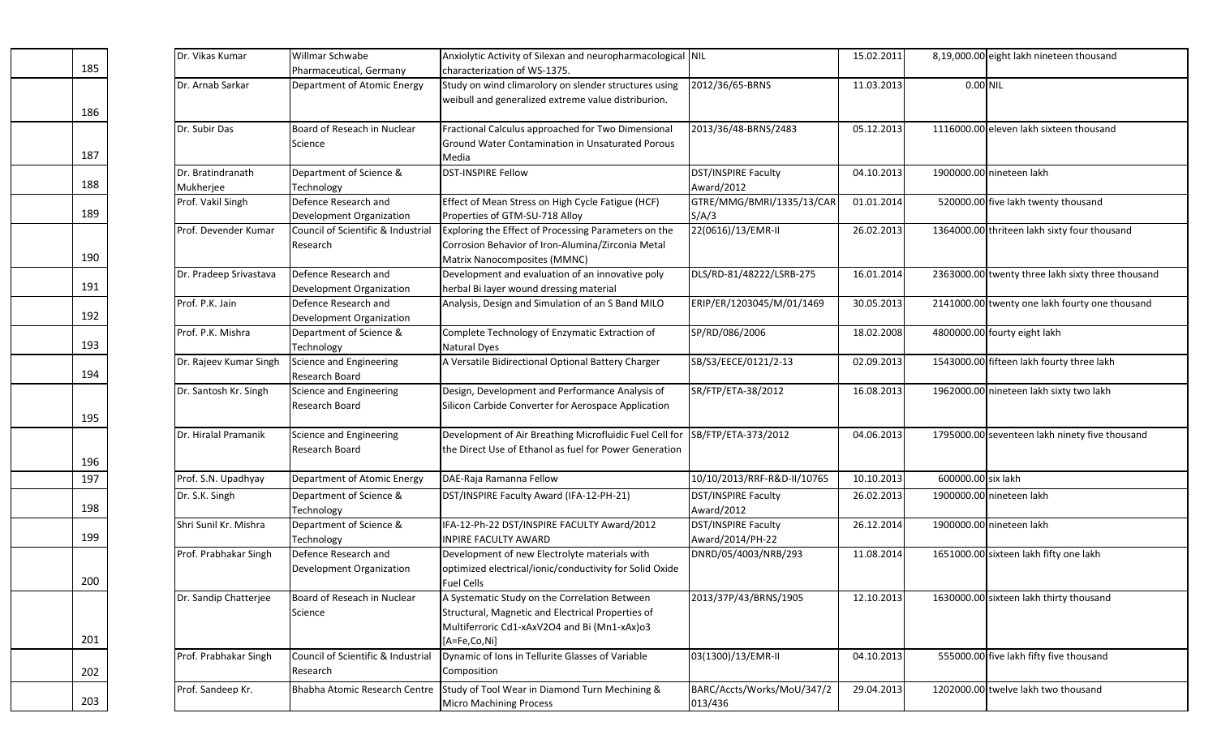|     | Dr. Vikas Kumar        | Willmar Schwabe                    | Anxiolytic Activity of Silexan and neuropharmacological NIL                  |                             | 15.02.2011 |                    | 8,19,000.00 eight lakh nineteen thousand          |
|-----|------------------------|------------------------------------|------------------------------------------------------------------------------|-----------------------------|------------|--------------------|---------------------------------------------------|
| 185 |                        | Pharmaceutical, Germany            | characterization of WS-1375.                                                 |                             |            |                    |                                                   |
|     | Dr. Arnab Sarkar       | Department of Atomic Energy        | Study on wind climarolory on slender structures using                        | 2012/36/65-BRNS             | 11.03.2013 | 0.00 NIL           |                                                   |
|     |                        |                                    | weibull and generalized extreme value distriburion.                          |                             |            |                    |                                                   |
| 186 |                        |                                    |                                                                              |                             |            |                    |                                                   |
|     | Dr. Subir Das          | Board of Reseach in Nuclear        | Fractional Calculus approached for Two Dimensional                           | 2013/36/48-BRNS/2483        | 05.12.2013 |                    | 1116000.00 eleven lakh sixteen thousand           |
|     |                        | Science                            | Ground Water Contamination in Unsaturated Porous                             |                             |            |                    |                                                   |
| 187 |                        |                                    | Media                                                                        |                             |            |                    |                                                   |
|     | Dr. Bratindranath      | Department of Science &            | <b>DST-INSPIRE Fellow</b>                                                    | DST/INSPIRE Faculty         | 04.10.2013 |                    | 1900000.00 nineteen lakh                          |
| 188 | Mukherjee              | Technology                         |                                                                              | Award/2012                  |            |                    |                                                   |
|     | Prof. Vakil Singh      | Defence Research and               | Effect of Mean Stress on High Cycle Fatigue (HCF)                            | GTRE/MMG/BMRI/1335/13/CAR   | 01.01.2014 |                    | 520000.00 five lakh twenty thousand               |
| 189 |                        | Development Organization           | Properties of GTM-SU-718 Alloy                                               | S/A/3                       |            |                    |                                                   |
|     | Prof. Devender Kumar   | Council of Scientific & Industrial | Exploring the Effect of Processing Parameters on the                         | 22(0616)/13/EMR-II          | 26.02.2013 |                    | 1364000.00 thriteen lakh sixty four thousand      |
|     |                        | Research                           | Corrosion Behavior of Iron-Alumina/Zirconia Metal                            |                             |            |                    |                                                   |
| 190 |                        |                                    | Matrix Nanocomposites (MMNC)                                                 |                             |            |                    |                                                   |
|     | Dr. Pradeep Srivastava | Defence Research and               | Development and evaluation of an innovative poly                             | DLS/RD-81/48222/LSRB-275    | 16.01.2014 |                    | 2363000.00 twenty three lakh sixty three thousand |
| 191 |                        | Development Organization           | herbal Bi layer wound dressing material                                      |                             |            |                    |                                                   |
|     | Prof. P.K. Jain        | Defence Research and               | Analysis, Design and Simulation of an S Band MILO                            | ERIP/ER/1203045/M/01/1469   | 30.05.2013 |                    | 2141000.00 twenty one lakh fourty one thousand    |
| 192 |                        | Development Organization           |                                                                              |                             |            |                    |                                                   |
|     | Prof. P.K. Mishra      | Department of Science &            | Complete Technology of Enzymatic Extraction of                               | SP/RD/086/2006              | 18.02.2008 |                    | 4800000.00 fourty eight lakh                      |
| 193 |                        | Technology                         | <b>Natural Dyes</b>                                                          |                             |            |                    |                                                   |
|     | Dr. Rajeev Kumar Singh | Science and Engineering            | A Versatile Bidirectional Optional Battery Charger                           | SB/S3/EECE/0121/2-13        | 02.09.2013 |                    | 1543000.00 fifteen lakh fourty three lakh         |
| 194 |                        | Research Board                     |                                                                              |                             |            |                    |                                                   |
|     | Dr. Santosh Kr. Singh  | Science and Engineering            | Design, Development and Performance Analysis of                              | SR/FTP/ETA-38/2012          | 16.08.2013 |                    | 1962000.00 nineteen lakh sixty two lakh           |
| 195 |                        | Research Board                     | Silicon Carbide Converter for Aerospace Application                          |                             |            |                    |                                                   |
|     | Dr. Hiralal Pramanik   | Science and Engineering            | Development of Air Breathing Microfluidic Fuel Cell for                      | SB/FTP/ETA-373/2012         | 04.06.2013 |                    | 1795000.00 seventeen lakh ninety five thousand    |
|     |                        | Research Board                     | the Direct Use of Ethanol as fuel for Power Generation                       |                             |            |                    |                                                   |
| 196 |                        |                                    |                                                                              |                             |            |                    |                                                   |
| 197 | Prof. S.N. Upadhyay    | Department of Atomic Energy        | DAE-Raja Ramanna Fellow                                                      | 10/10/2013/RRF-R&D-II/10765 | 10.10.2013 | 600000.00 six lakh |                                                   |
|     | Dr. S.K. Singh         | Department of Science &            | DST/INSPIRE Faculty Award (IFA-12-PH-21)                                     | DST/INSPIRE Faculty         | 26.02.2013 |                    | 1900000.00 nineteen lakh                          |
| 198 |                        | Technology                         |                                                                              | Award/2012                  |            |                    |                                                   |
|     | Shri Sunil Kr. Mishra  | Department of Science &            | IFA-12-Ph-22 DST/INSPIRE FACULTY Award/2012                                  | DST/INSPIRE Faculty         | 26.12.2014 |                    | 1900000.00 nineteen lakh                          |
| 199 |                        | Technology                         | <b>INPIRE FACULTY AWARD</b>                                                  | Award/2014/PH-22            |            |                    |                                                   |
|     | Prof. Prabhakar Singh  | Defence Research and               | Development of new Electrolyte materials with                                | DNRD/05/4003/NRB/293        | 11.08.2014 |                    | 1651000.00 sixteen lakh fifty one lakh            |
|     |                        | Development Organization           | optimized electrical/ionic/conductivity for Solid Oxide                      |                             |            |                    |                                                   |
| 200 |                        |                                    | <b>Fuel Cells</b>                                                            |                             |            |                    |                                                   |
|     | Dr. Sandip Chatterjee  | Board of Reseach in Nuclear        | A Systematic Study on the Correlation Between                                | 2013/37P/43/BRNS/1905       | 12.10.2013 |                    | 1630000.00 sixteen lakh thirty thousand           |
|     |                        | Science                            | Structural, Magnetic and Electrical Properties of                            |                             |            |                    |                                                   |
|     |                        |                                    | Multiferroric Cd1-xAxV2O4 and Bi (Mn1-xAx)o3                                 |                             |            |                    |                                                   |
| 201 |                        |                                    | [A=Fe,Co,Ni]                                                                 |                             |            |                    |                                                   |
|     | Prof. Prabhakar Singh  | Council of Scientific & Industrial | Dynamic of Ions in Tellurite Glasses of Variable                             | 03(1300)/13/EMR-II          | 04.10.2013 |                    | 555000.00 five lakh fifty five thousand           |
| 202 |                        | Research                           | Composition                                                                  |                             |            |                    |                                                   |
|     | Prof. Sandeep Kr.      |                                    | Bhabha Atomic Research Centre Study of Tool Wear in Diamond Turn Mechining & | BARC/Accts/Works/MoU/347/2  | 29.04.2013 |                    | 1202000.00 twelve lakh two thousand               |
| 203 |                        |                                    | <b>Micro Machining Process</b>                                               | 013/436                     |            |                    |                                                   |
|     |                        |                                    |                                                                              |                             |            |                    |                                                   |

186

187

188

189

190

191

192

193

194

195

196

198

199

200

201

202